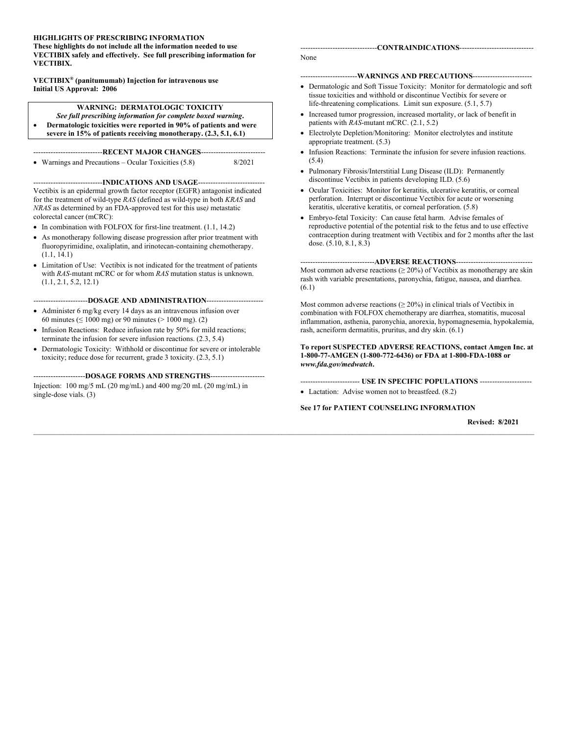#### **HIGHLIGHTS OF PRESCRIBING INFORMATION**

**These highlights do not include all the information needed to use VECTIBIX safely and effectively. See full prescribing information for VECTIBIX.**

**VECTIBIX® (panitumumab) Injection for intravenous use Initial US Approval: 2006**

**WARNING: DERMATOLOGIC TOXICITY** *See full prescribing information for complete boxed warning***.** • **Dermatologic toxicities were reported in 90% of patients and were** 

**severe in 15% of patients receiving monotherapy. (2.3, 5.1, 6.1)**

# ----------------------------**RECENT MAJOR CHANGES**--------------------------

• Warnings and Precautions – Ocular Toxicities (5.8) 8/2021

#### ----------------------------**INDICATIONS AND USAGE**---------------------------

Vectibix is an epidermal growth factor receptor (EGFR) antagonist indicated for the treatment of wild-type *RAS* (defined as wild-type in both *KRAS* and *NRAS* as determined by an FDA-approved test for this use*)* metastatic colorectal cancer (mCRC):

- In combination with FOLFOX for first-line treatment.  $(1.1, 14.2)$
- As monotherapy following disease progression after prior treatment with fluoropyrimidine, oxaliplatin, and irinotecan-containing chemotherapy. (1.1, 14.1)
- Limitation of Use: Vectibix is not indicated for the treatment of patients with *RAS-*mutant mCRC or for whom *RAS* mutation status is unknown. (1.1, 2.1, 5.2, 12.1)

#### ----------------------**DOSAGE AND ADMINISTRATION**-----------------------

- Administer 6 mg/kg every 14 days as an intravenous infusion over 60 minutes ( $\leq 1000$  mg) or 90 minutes ( $> 1000$  mg). (2)
- Infusion Reactions: Reduce infusion rate by 50% for mild reactions; terminate the infusion for severe infusion reactions. (2.3, 5.4)
- Dermatologic Toxicity: Withhold or discontinue for severe or intolerable toxicity; reduce dose for recurrent, grade 3 toxicity. (2.3, 5.1)

---------------------**DOSAGE FORMS AND STRENGTHS**---------------------- Injection: 100 mg/5 mL (20 mg/mL) and 400 mg/20 mL (20 mg/mL) in

single-dose vials. (3)

| --------------------------------CONTRAINDICATIONS------------------------------- |  |
|----------------------------------------------------------------------------------|--|
|                                                                                  |  |

None

 $\mathcal{L} = \{ \mathcal{L} = \{ \mathcal{L} = \{ \mathcal{L} = \{ \mathcal{L} = \{ \mathcal{L} = \{ \mathcal{L} = \{ \mathcal{L} = \{ \mathcal{L} = \{ \mathcal{L} = \{ \mathcal{L} = \{ \mathcal{L} = \{ \mathcal{L} = \{ \mathcal{L} = \{ \mathcal{L} = \{ \mathcal{L} = \{ \mathcal{L} = \{ \mathcal{L} = \{ \mathcal{L} = \{ \mathcal{L} = \{ \mathcal{L} = \{ \mathcal{L} = \{ \mathcal{L} = \{ \mathcal{L} = \{ \mathcal{$ 

#### -----------------------**WARNINGS AND PRECAUTIONS**------------------------

- Dermatologic and Soft Tissue Toxicity: Monitor for dermatologic and soft tissue toxicities and withhold or discontinue Vectibix for severe or life-threatening complications. Limit sun exposure. (5.1, 5.7)
- Increased tumor progression, increased mortality, or lack of benefit in patients with *RAS*-mutant mCRC. (2.1, 5.2)
- Electrolyte Depletion/Monitoring: Monitor electrolytes and institute appropriate treatment. (5.3)
- Infusion Reactions: Terminate the infusion for severe infusion reactions. (5.4)
- Pulmonary Fibrosis/Interstitial Lung Disease (ILD): Permanently discontinue Vectibix in patients developing ILD. (5.6)
- Ocular Toxicities: Monitor for keratitis, ulcerative keratitis, or corneal perforation. Interrupt or discontinue Vectibix for acute or worsening keratitis, ulcerative keratitis, or corneal perforation. (5.8)
- Embryo-fetal Toxicity: Can cause fetal harm. Advise females of reproductive potential of the potential risk to the fetus and to use effective contraception during treatment with Vectibix and for 2 months after the last dose. (5.10, 8.1, 8.3)

#### ------------------------------**ADVERSE REACTIONS**-------------------------------

Most common adverse reactions ( $\geq$  20%) of Vectibix as monotherapy are skin rash with variable presentations, paronychia, fatigue, nausea, and diarrhea. (6.1)

Most common adverse reactions ( $\geq$  20%) in clinical trials of Vectibix in combination with FOLFOX chemotherapy are diarrhea, stomatitis, mucosal inflammation, asthenia, paronychia, anorexia, hypomagnesemia, hypokalemia, rash, acneiform dermatitis, pruritus, and dry skin. (6.1)

#### **To report SUSPECTED ADVERSE REACTIONS, contact Amgen Inc. at 1-800-77-AMGEN (1-800-772-6436) or FDA at 1-800-FDA-1088 or**  *www.fda.gov/medwatch***.**

#### ------------------------ **USE IN SPECIFIC POPULATIONS** ---------------------

• Lactation: Advise women not to breastfeed. (8.2)

#### **See 17 for PATIENT COUNSELING INFORMATION**

**Revised: 8/2021**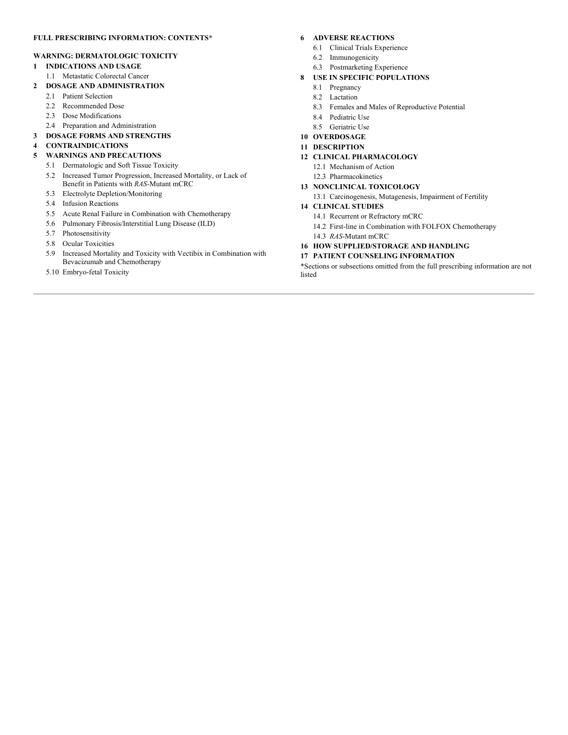#### **FULL PRESCRIBING INFORMATION: CONTENTS\***

#### **WARNING: DERMATOLOGIC TOXICITY**

- **1 INDICATIONS AND USAGE**
- 1.1 Metastatic Colorectal Cancer
- **2 DOSAGE AND ADMINISTRATION**
	- 2.1 Patient Selection
	- 2.2 Recommended Dose
	- 2.3 Dose Modifications
	- 2.4 Preparation and Administration
- **3 DOSAGE FORMS AND STRENGTHS**
- **4 CONTRAINDICATIONS**

#### **5 WARNINGS AND PRECAUTIONS**

- 5.1 Dermatologic and Soft Tissue Toxicity
- 5.2 Increased Tumor Progression, Increased Mortality, or Lack of
- Benefit in Patients with *RAS-*Mutant mCRC
- 5.3 Electrolyte Depletion/Monitoring
- 5.4 Infusion Reactions
- 5.5 Acute Renal Failure in Combination with Chemotherapy
- 5.6 Pulmonary Fibrosis/Interstitial Lung Disease (ILD)
- 5.7 Photosensitivity
- 5.8 Ocular Toxicities
- 5.9 Increased Mortality and Toxicity with Vectibix in Combination with Bevacizumab and Chemotherapy
- 5.10 Embryo-fetal Toxicity

#### **6 ADVERSE REACTIONS**

- 6.1 Clinical Trials Experience
- 6.2 Immunogenicity
- 6.3 Postmarketing Experience
- **8 USE IN SPECIFIC POPULATIONS**
	- 8.1 Pregnancy
	- 8.2 Lactation
	- 8.3 Females and Males of Reproductive Potential
	- 8.4 Pediatric Use
	- 8.5 Geriatric Use
- **10 OVERDOSAGE**
- **11 DESCRIPTION**
- **12 CLINICAL PHARMACOLOGY**
	- 12.1 Mechanism of Action
	- 12.3 Pharmacokinetics
- **13 NONCLINICAL TOXICOLOGY**
	- 13.1 Carcinogenesis, Mutagenesis, Impairment of Fertility

#### **14 CLINICAL STUDIES**

- 14.1 Recurrent or Refractory mCRC
- 14.2 First-line in Combination with FOLFOX Chemotherapy
- 14.3 *RAS*-Mutant mCRC
- **16 HOW SUPPLIED/STORAGE AND HANDLING**

#### **17 PATIENT COUNSELING INFORMATION**

\*Sections or subsections omitted from the full prescribing information are not listed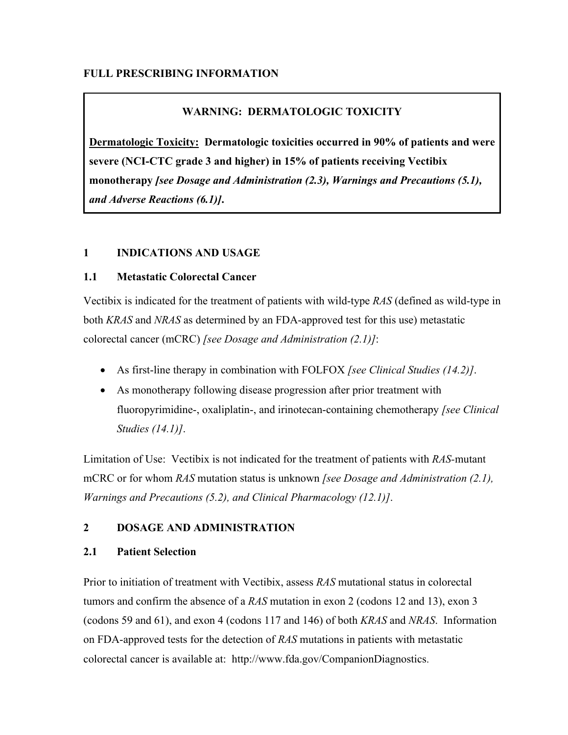# **FULL PRESCRIBING INFORMATION**

# **WARNING: DERMATOLOGIC TOXICITY**

**Dermatologic Toxicity: Dermatologic toxicities occurred in 90% of patients and were severe (NCI-CTC grade 3 and higher) in 15% of patients receiving Vectibix monotherapy** *[see Dosage and Administration (2.3), Warnings and Precautions (5.1), and Adverse Reactions (6.1)]***.**

# **1 INDICATIONS AND USAGE**

# **1.1 Metastatic Colorectal Cancer**

Vectibix is indicated for the treatment of patients with wild-type *RAS* (defined as wild-type in both *KRAS* and *NRAS* as determined by an FDA-approved test for this use) metastatic colorectal cancer (mCRC) *[see Dosage and Administration (2.1)]*:

- As first-line therapy in combination with FOLFOX *[see Clinical Studies (14.2)]*.
- As monotherapy following disease progression after prior treatment with fluoropyrimidine-, oxaliplatin-, and irinotecan-containing chemotherapy *[see Clinical Studies (14.1)]*.

Limitation of Use: Vectibix is not indicated for the treatment of patients with *RAS-*mutant mCRC or for whom *RAS* mutation status is unknown *[see Dosage and Administration (2.1), Warnings and Precautions (5.2), and Clinical Pharmacology (12.1)]*.

# **2 DOSAGE AND ADMINISTRATION**

# **2.1 Patient Selection**

Prior to initiation of treatment with Vectibix, assess *RAS* mutational status in colorectal tumors and confirm the absence of a *RAS* mutation in exon 2 (codons 12 and 13), exon 3 (codons 59 and 61), and exon 4 (codons 117 and 146) of both *KRAS* and *NRAS*. Information on FDA-approved tests for the detection of *RAS* mutations in patients with metastatic colorectal cancer is available at: http://www.fda.gov/CompanionDiagnostics.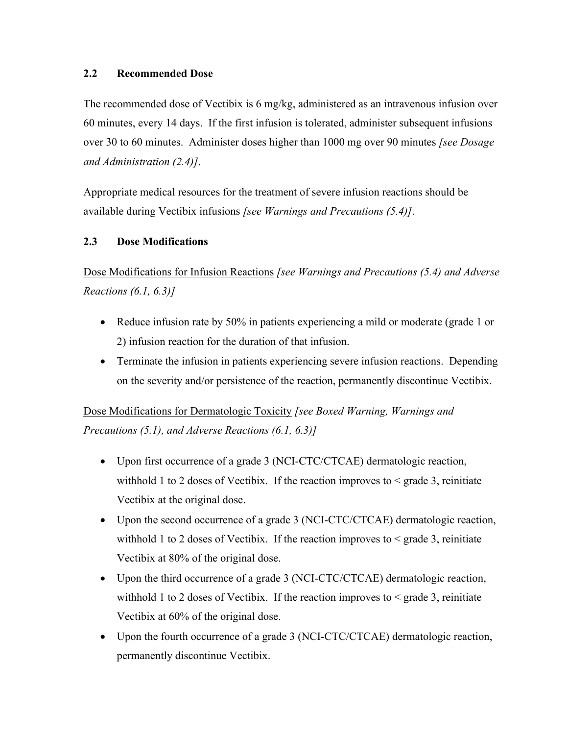# **2.2 Recommended Dose**

The recommended dose of Vectibix is 6 mg/kg, administered as an intravenous infusion over 60 minutes, every 14 days. If the first infusion is tolerated, administer subsequent infusions over 30 to 60 minutes. Administer doses higher than 1000 mg over 90 minutes *[see Dosage and Administration (2.4)]*.

Appropriate medical resources for the treatment of severe infusion reactions should be available during Vectibix infusions *[see Warnings and Precautions (5.4)]*.

# **2.3 Dose Modifications**

Dose Modifications for Infusion Reactions *[see Warnings and Precautions (5.4) and Adverse Reactions (6.1, 6.3)]*

- Reduce infusion rate by 50% in patients experiencing a mild or moderate (grade 1 or 2) infusion reaction for the duration of that infusion.
- Terminate the infusion in patients experiencing severe infusion reactions. Depending on the severity and/or persistence of the reaction, permanently discontinue Vectibix.

Dose Modifications for Dermatologic Toxicity *[see Boxed Warning, Warnings and Precautions (5.1), and Adverse Reactions (6.1, 6.3)]*

- Upon first occurrence of a grade 3 (NCI-CTC/CTCAE) dermatologic reaction, withhold 1 to 2 doses of Vectibix. If the reaction improves to  $\leq$  grade 3, reinitiate Vectibix at the original dose.
- Upon the second occurrence of a grade 3 (NCI-CTC/CTCAE) dermatologic reaction, withhold 1 to 2 doses of Vectibix. If the reaction improves to  $\leq$  grade 3, reinitiate Vectibix at 80% of the original dose.
- Upon the third occurrence of a grade 3 (NCI-CTC/CTCAE) dermatologic reaction, withhold 1 to 2 doses of Vectibix. If the reaction improves to  $\leq$  grade 3, reinitiate Vectibix at 60% of the original dose.
- Upon the fourth occurrence of a grade 3 (NCI-CTC/CTCAE) dermatologic reaction, permanently discontinue Vectibix.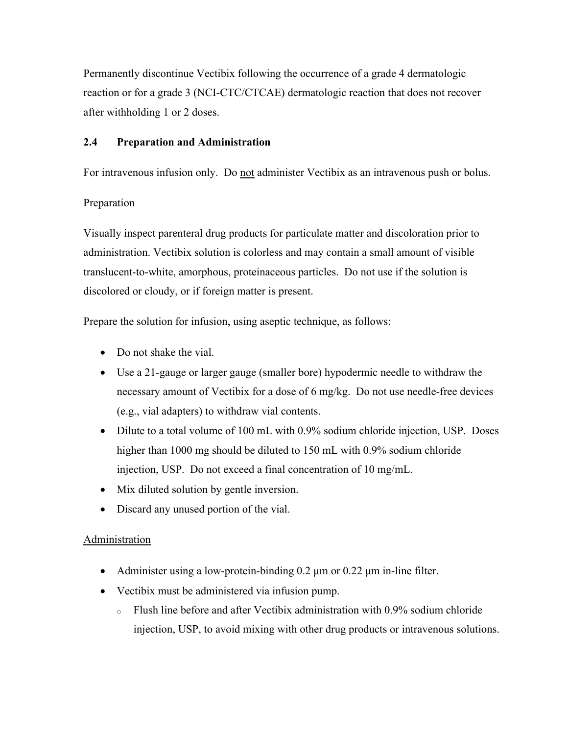Permanently discontinue Vectibix following the occurrence of a grade 4 dermatologic reaction or for a grade 3 (NCI-CTC/CTCAE) dermatologic reaction that does not recover after withholding 1 or 2 doses.

# **2.4 Preparation and Administration**

For intravenous infusion only. Do not administer Vectibix as an intravenous push or bolus.

# **Preparation**

Visually inspect parenteral drug products for particulate matter and discoloration prior to administration. Vectibix solution is colorless and may contain a small amount of visible translucent-to-white, amorphous, proteinaceous particles. Do not use if the solution is discolored or cloudy, or if foreign matter is present.

Prepare the solution for infusion, using aseptic technique, as follows:

- Do not shake the vial.
- Use a 21-gauge or larger gauge (smaller bore) hypodermic needle to withdraw the necessary amount of Vectibix for a dose of 6 mg/kg. Do not use needle-free devices (e.g., vial adapters) to withdraw vial contents.
- Dilute to a total volume of 100 mL with 0.9% sodium chloride injection, USP. Doses higher than 1000 mg should be diluted to 150 mL with 0.9% sodium chloride injection, USP. Do not exceed a final concentration of 10 mg/mL.
- Mix diluted solution by gentle inversion.
- Discard any unused portion of the vial.

# **Administration**

- Administer using a low-protein-binding  $0.2 \mu m$  or  $0.22 \mu m$  in-line filter.
- Vectibix must be administered via infusion pump.
	- <sup>o</sup> Flush line before and after Vectibix administration with 0.9% sodium chloride injection, USP, to avoid mixing with other drug products or intravenous solutions.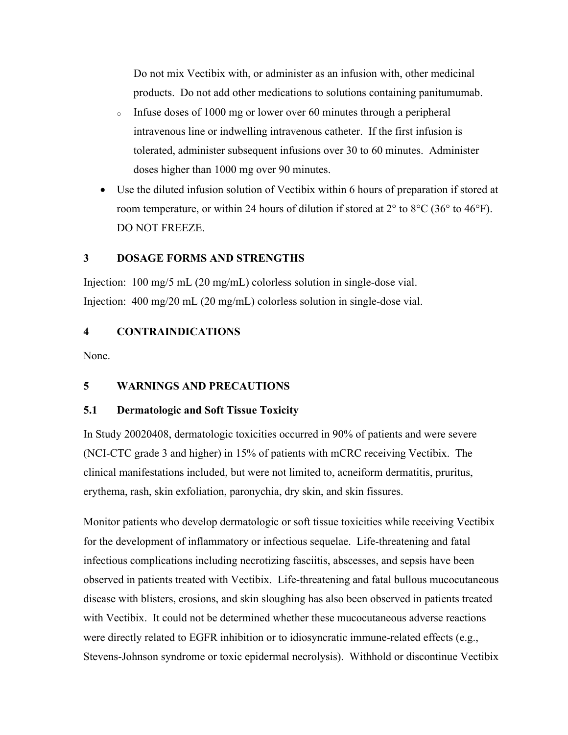Do not mix Vectibix with, or administer as an infusion with, other medicinal products. Do not add other medications to solutions containing panitumumab.

- <sup>o</sup> Infuse doses of 1000 mg or lower over 60 minutes through a peripheral intravenous line or indwelling intravenous catheter. If the first infusion is tolerated, administer subsequent infusions over 30 to 60 minutes. Administer doses higher than 1000 mg over 90 minutes.
- Use the diluted infusion solution of Vectibix within 6 hours of preparation if stored at room temperature, or within 24 hours of dilution if stored at  $2^{\circ}$  to  $8^{\circ}C$  (36° to 46°F). DO NOT FREEZE.

# **3 DOSAGE FORMS AND STRENGTHS**

Injection: 100 mg/5 mL (20 mg/mL) colorless solution in single-dose vial. Injection: 400 mg/20 mL (20 mg/mL) colorless solution in single-dose vial.

# **4 CONTRAINDICATIONS**

None.

# **5 WARNINGS AND PRECAUTIONS**

# **5.1 Dermatologic and Soft Tissue Toxicity**

In Study 20020408, dermatologic toxicities occurred in 90% of patients and were severe (NCI-CTC grade 3 and higher) in 15% of patients with mCRC receiving Vectibix. The clinical manifestations included, but were not limited to, acneiform dermatitis, pruritus, erythema, rash, skin exfoliation, paronychia, dry skin, and skin fissures.

Monitor patients who develop dermatologic or soft tissue toxicities while receiving Vectibix for the development of inflammatory or infectious sequelae. Life-threatening and fatal infectious complications including necrotizing fasciitis, abscesses, and sepsis have been observed in patients treated with Vectibix. Life-threatening and fatal bullous mucocutaneous disease with blisters, erosions, and skin sloughing has also been observed in patients treated with Vectibix. It could not be determined whether these mucocutaneous adverse reactions were directly related to EGFR inhibition or to idiosyncratic immune-related effects (e.g., Stevens-Johnson syndrome or toxic epidermal necrolysis). Withhold or discontinue Vectibix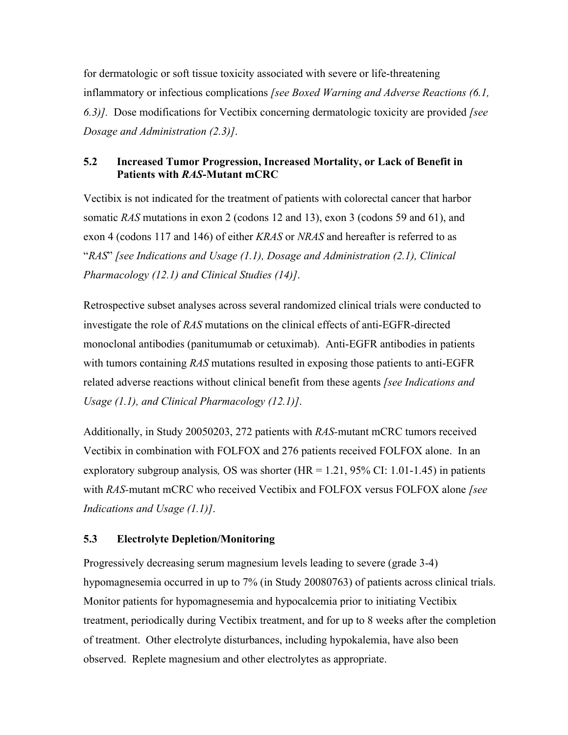for dermatologic or soft tissue toxicity associated with severe or life-threatening inflammatory or infectious complications *[see Boxed Warning and Adverse Reactions (6.1, 6.3)].* Dose modifications for Vectibix concerning dermatologic toxicity are provided *[see Dosage and Administration (2.3)]*.

# **5.2 Increased Tumor Progression, Increased Mortality, or Lack of Benefit in Patients with** *RAS***-Mutant mCRC**

Vectibix is not indicated for the treatment of patients with colorectal cancer that harbor somatic *RAS* mutations in exon 2 (codons 12 and 13), exon 3 (codons 59 and 61), and exon 4 (codons 117 and 146) of either *KRAS* or *NRAS* and hereafter is referred to as "*RAS*" *[see Indications and Usage (1.1), Dosage and Administration (2.1), Clinical Pharmacology (12.1) and Clinical Studies (14)]*.

Retrospective subset analyses across several randomized clinical trials were conducted to investigate the role of *RAS* mutations on the clinical effects of anti-EGFR-directed monoclonal antibodies (panitumumab or cetuximab). Anti-EGFR antibodies in patients with tumors containing *RAS* mutations resulted in exposing those patients to anti-EGFR related adverse reactions without clinical benefit from these agents *[see Indications and Usage (1.1), and Clinical Pharmacology (12.1)]*.

Additionally, in Study 20050203, 272 patients with *RAS-*mutant mCRC tumors received Vectibix in combination with FOLFOX and 276 patients received FOLFOX alone. In an exploratory subgroup analysis*,* OS was shorter (HR = 1.21, 95% CI: 1.01-1.45) in patients with *RAS-*mutant mCRC who received Vectibix and FOLFOX versus FOLFOX alone *[see Indications and Usage (1.1)]*.

## **5.3 Electrolyte Depletion/Monitoring**

Progressively decreasing serum magnesium levels leading to severe (grade 3-4) hypomagnesemia occurred in up to 7% (in Study 20080763) of patients across clinical trials. Monitor patients for hypomagnesemia and hypocalcemia prior to initiating Vectibix treatment, periodically during Vectibix treatment, and for up to 8 weeks after the completion of treatment. Other electrolyte disturbances, including hypokalemia, have also been observed. Replete magnesium and other electrolytes as appropriate.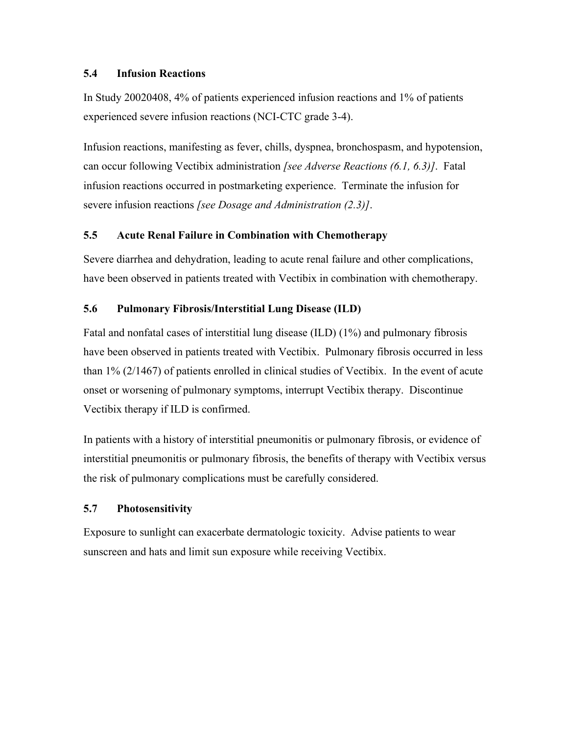# **5.4 Infusion Reactions**

In Study 20020408, 4% of patients experienced infusion reactions and 1% of patients experienced severe infusion reactions (NCI-CTC grade 3-4).

Infusion reactions, manifesting as fever, chills, dyspnea, bronchospasm, and hypotension, can occur following Vectibix administration *[see Adverse Reactions (6.1, 6.3)]*. Fatal infusion reactions occurred in postmarketing experience. Terminate the infusion for severe infusion reactions *[see Dosage and Administration (2.3)]*.

# **5.5 Acute Renal Failure in Combination with Chemotherapy**

Severe diarrhea and dehydration, leading to acute renal failure and other complications, have been observed in patients treated with Vectibix in combination with chemotherapy.

# **5.6 Pulmonary Fibrosis/Interstitial Lung Disease (ILD)**

Fatal and nonfatal cases of interstitial lung disease (ILD) (1%) and pulmonary fibrosis have been observed in patients treated with Vectibix. Pulmonary fibrosis occurred in less than 1% (2/1467) of patients enrolled in clinical studies of Vectibix. In the event of acute onset or worsening of pulmonary symptoms, interrupt Vectibix therapy. Discontinue Vectibix therapy if ILD is confirmed.

In patients with a history of interstitial pneumonitis or pulmonary fibrosis, or evidence of interstitial pneumonitis or pulmonary fibrosis, the benefits of therapy with Vectibix versus the risk of pulmonary complications must be carefully considered.

# **5.7 Photosensitivity**

Exposure to sunlight can exacerbate dermatologic toxicity. Advise patients to wear sunscreen and hats and limit sun exposure while receiving Vectibix.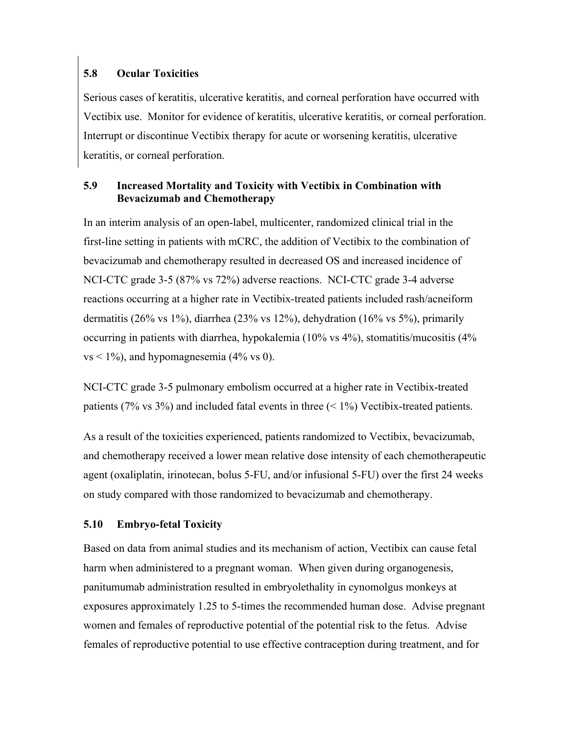# **5.8 Ocular Toxicities**

Serious cases of keratitis, ulcerative keratitis, and corneal perforation have occurred with Vectibix use. Monitor for evidence of keratitis, ulcerative keratitis, or corneal perforation. Interrupt or discontinue Vectibix therapy for acute or worsening keratitis, ulcerative keratitis, or corneal perforation.

# **5.9 Increased Mortality and Toxicity with Vectibix in Combination with Bevacizumab and Chemotherapy**

In an interim analysis of an open-label, multicenter, randomized clinical trial in the first-line setting in patients with mCRC, the addition of Vectibix to the combination of bevacizumab and chemotherapy resulted in decreased OS and increased incidence of NCI-CTC grade 3-5 (87% vs 72%) adverse reactions. NCI-CTC grade 3-4 adverse reactions occurring at a higher rate in Vectibix-treated patients included rash/acneiform dermatitis (26% vs 1%), diarrhea (23% vs 12%), dehydration (16% vs 5%), primarily occurring in patients with diarrhea, hypokalemia (10% vs 4%), stomatitis/mucositis (4%  $vs < 1\%$ ), and hypomagnesemia (4% vs 0).

NCI-CTC grade 3-5 pulmonary embolism occurred at a higher rate in Vectibix-treated patients (7% vs 3%) and included fatal events in three  $(< 1\%)$  Vectibix-treated patients.

As a result of the toxicities experienced, patients randomized to Vectibix, bevacizumab, and chemotherapy received a lower mean relative dose intensity of each chemotherapeutic agent (oxaliplatin, irinotecan, bolus 5-FU, and/or infusional 5-FU) over the first 24 weeks on study compared with those randomized to bevacizumab and chemotherapy.

# **5.10 Embryo-fetal Toxicity**

Based on data from animal studies and its mechanism of action, Vectibix can cause fetal harm when administered to a pregnant woman. When given during organogenesis, panitumumab administration resulted in embryolethality in cynomolgus monkeys at exposures approximately 1.25 to 5-times the recommended human dose. Advise pregnant women and females of reproductive potential of the potential risk to the fetus. Advise females of reproductive potential to use effective contraception during treatment, and for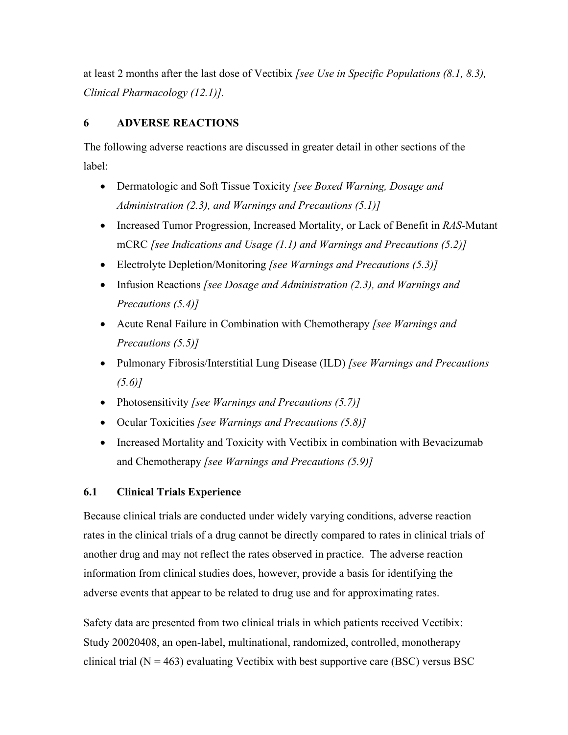at least 2 months after the last dose of Vectibix *[see Use in Specific Populations (8.1, 8.3), Clinical Pharmacology (12.1)].*

# **6 ADVERSE REACTIONS**

The following adverse reactions are discussed in greater detail in other sections of the label:

- Dermatologic and Soft Tissue Toxicity *[see Boxed Warning, Dosage and Administration (2.3), and Warnings and Precautions (5.1)]*
- Increased Tumor Progression, Increased Mortality, or Lack of Benefit in *RAS*-Mutant mCRC *[see Indications and Usage (1.1) and Warnings and Precautions (5.2)]*
- Electrolyte Depletion/Monitoring *[see Warnings and Precautions (5.3)]*
- Infusion Reactions *[see Dosage and Administration (2.3), and Warnings and Precautions (5.4)]*
- Acute Renal Failure in Combination with Chemotherapy *[see Warnings and Precautions (5.5)]*
- Pulmonary Fibrosis/Interstitial Lung Disease (ILD) *[see Warnings and Precautions (5.6)]*
- Photosensitivity *[see Warnings and Precautions (5.7)]*
- Ocular Toxicities *[see Warnings and Precautions (5.8)]*
- Increased Mortality and Toxicity with Vectibix in combination with Bevacizumab and Chemotherapy *[see Warnings and Precautions (5.9)]*

# **6.1 Clinical Trials Experience**

Because clinical trials are conducted under widely varying conditions, adverse reaction rates in the clinical trials of a drug cannot be directly compared to rates in clinical trials of another drug and may not reflect the rates observed in practice. The adverse reaction information from clinical studies does, however, provide a basis for identifying the adverse events that appear to be related to drug use and for approximating rates.

Safety data are presented from two clinical trials in which patients received Vectibix: Study 20020408, an open-label, multinational, randomized, controlled, monotherapy clinical trial ( $N = 463$ ) evaluating Vectibix with best supportive care (BSC) versus BSC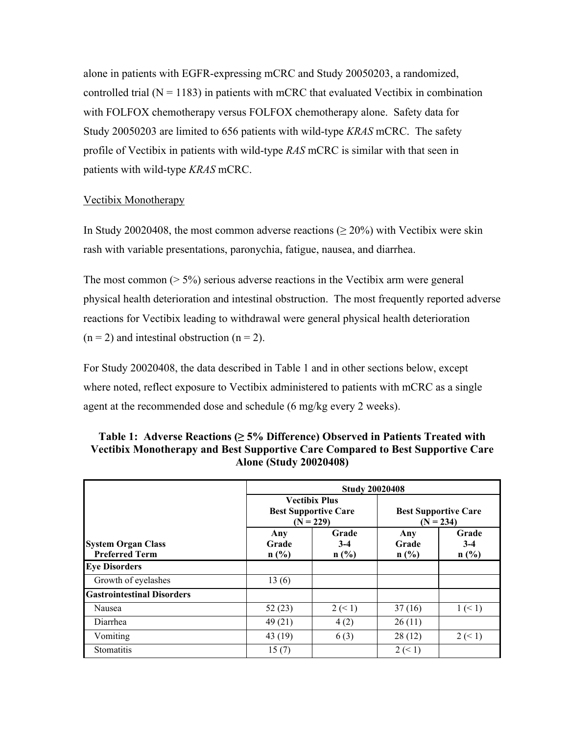alone in patients with EGFR-expressing mCRC and Study 20050203, a randomized, controlled trial  $(N = 1183)$  in patients with mCRC that evaluated Vectibix in combination with FOLFOX chemotherapy versus FOLFOX chemotherapy alone. Safety data for Study 20050203 are limited to 656 patients with wild-type *KRAS* mCRC. The safety profile of Vectibix in patients with wild-type *RAS* mCRC is similar with that seen in patients with wild-type *KRAS* mCRC.

## Vectibix Monotherapy

In Study 20020408, the most common adverse reactions ( $\geq 20\%$ ) with Vectibix were skin rash with variable presentations, paronychia, fatigue, nausea, and diarrhea.

The most common  $(5\%)$  serious adverse reactions in the Vectibix arm were general physical health deterioration and intestinal obstruction. The most frequently reported adverse reactions for Vectibix leading to withdrawal were general physical health deterioration  $(n = 2)$  and intestinal obstruction  $(n = 2)$ .

For Study 20020408, the data described in Table 1 and in other sections below, except where noted, reflect exposure to Vectibix administered to patients with mCRC as a single agent at the recommended dose and schedule (6 mg/kg every 2 weeks).

|                                                    | <b>Study 20020408</b>   |                                                                    |                                            |                        |  |  |
|----------------------------------------------------|-------------------------|--------------------------------------------------------------------|--------------------------------------------|------------------------|--|--|
|                                                    |                         | <b>Vectibix Plus</b><br><b>Best Supportive Care</b><br>$(N = 229)$ | <b>Best Supportive Care</b><br>$(N = 234)$ |                        |  |  |
| <b>System Organ Class</b><br><b>Preferred Term</b> | Any<br>Grade<br>$n$ (%) | Grade<br>$3 - 4$<br>n(%)                                           | Any<br>Grade<br>n(%)                       | Grade<br>$3-4$<br>n(%) |  |  |
| <b>Eye Disorders</b>                               |                         |                                                                    |                                            |                        |  |  |
| Growth of eyelashes                                | 13(6)                   |                                                                    |                                            |                        |  |  |
| <b>Gastrointestinal Disorders</b>                  |                         |                                                                    |                                            |                        |  |  |
| Nausea                                             | 52(23)                  | 2 (< 1)                                                            | 37(16)                                     | 1 (< 1)                |  |  |
| Diarrhea                                           | 49(21)                  | 4(2)                                                               | 26(11)                                     |                        |  |  |
| Vomiting                                           | 43(19)                  | 6(3)                                                               | 28(12)                                     | 2 (< 1)                |  |  |
| Stomatitis                                         | 15(7)                   |                                                                    | 2 (< 1)                                    |                        |  |  |

| Table 1: Adverse Reactions $(\geq 5\%$ Difference) Observed in Patients Treated with |
|--------------------------------------------------------------------------------------|
| Vectibix Monotherapy and Best Supportive Care Compared to Best Supportive Care       |
| <b>Alone (Study 20020408)</b>                                                        |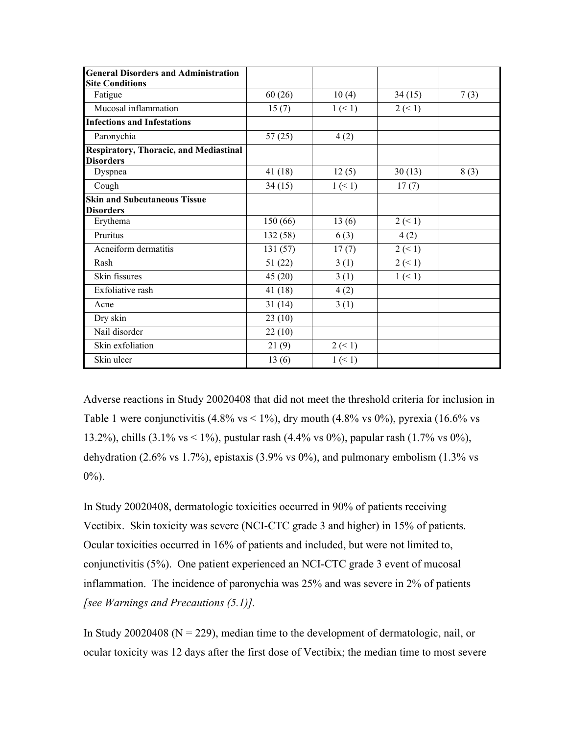| <b>General Disorders and Administration</b>   |          |           |           |      |
|-----------------------------------------------|----------|-----------|-----------|------|
| <b>Site Conditions</b>                        |          |           |           |      |
| Fatigue                                       | 60(26)   | 10(4)     | 34(15)    | 7(3) |
| Mucosal inflammation                          | 15(7)    | 1 (< 1)   | $2 \le 1$ |      |
| <b>Infections and Infestations</b>            |          |           |           |      |
| Paronychia                                    | 57(25)   | 4(2)      |           |      |
| <b>Respiratory, Thoracic, and Mediastinal</b> |          |           |           |      |
| <b>Disorders</b>                              |          |           |           |      |
| Dyspnea                                       | 41(18)   | 12(5)     | 30(13)    | 8(3) |
| Cough                                         | 34(15)   | 1 (< 1)   | 17(7)     |      |
| <b>Skin and Subcutaneous Tissue</b>           |          |           |           |      |
| <b>Disorders</b>                              |          |           |           |      |
| Erythema                                      | 150 (66) | 13(6)     | $2 \le 1$ |      |
| Pruritus                                      | 132 (58) | 6(3)      | 4(2)      |      |
| Acneiform dermatitis                          | 131(57)  | 17(7)     | $2 \le 1$ |      |
| Rash                                          | 51(22)   | 3(1)      | $2 \le 1$ |      |
| Skin fissures                                 | 45(20)   | 3(1)      | 1 (< 1)   |      |
| Exfoliative rash                              | 41(18)   | 4(2)      |           |      |
| Acne                                          | 31(14)   | 3(1)      |           |      |
| Dry skin                                      | 23(10)   |           |           |      |
| Nail disorder                                 | 22(10)   |           |           |      |
| Skin exfoliation                              | 21(9)    | $2 \le 1$ |           |      |
| Skin ulcer                                    | 13(6)    | 1 (< 1)   |           |      |

Adverse reactions in Study 20020408 that did not meet the threshold criteria for inclusion in Table 1 were conjunctivitis (4.8% vs  $\lt 1\%$ ), dry mouth (4.8% vs 0%), pyrexia (16.6% vs 13.2%), chills (3.1% vs < 1%), pustular rash (4.4% vs 0%), papular rash (1.7% vs 0%), dehydration (2.6% vs 1.7%), epistaxis (3.9% vs 0%), and pulmonary embolism (1.3% vs  $0\%$ ).

In Study 20020408, dermatologic toxicities occurred in 90% of patients receiving Vectibix. Skin toxicity was severe (NCI-CTC grade 3 and higher) in 15% of patients. Ocular toxicities occurred in 16% of patients and included, but were not limited to, conjunctivitis (5%). One patient experienced an NCI-CTC grade 3 event of mucosal inflammation. The incidence of paronychia was 25% and was severe in 2% of patients *[see Warnings and Precautions (5.1)].*

In Study 20020408 ( $N = 229$ ), median time to the development of dermatologic, nail, or ocular toxicity was 12 days after the first dose of Vectibix; the median time to most severe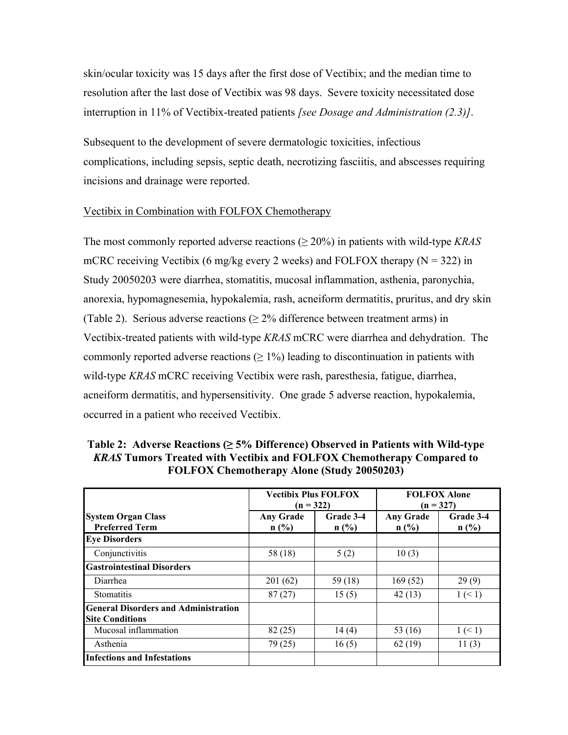skin/ocular toxicity was 15 days after the first dose of Vectibix; and the median time to resolution after the last dose of Vectibix was 98 days. Severe toxicity necessitated dose interruption in 11% of Vectibix-treated patients *[see Dosage and Administration (2.3)]*.

Subsequent to the development of severe dermatologic toxicities, infectious complications, including sepsis, septic death, necrotizing fasciitis, and abscesses requiring incisions and drainage were reported.

# Vectibix in Combination with FOLFOX Chemotherapy

The most commonly reported adverse reactions (≥ 20%) in patients with wild-type *KRAS* mCRC receiving Vectibix (6 mg/kg every 2 weeks) and FOLFOX therapy ( $N = 322$ ) in Study 20050203 were diarrhea, stomatitis, mucosal inflammation, asthenia, paronychia, anorexia, hypomagnesemia, hypokalemia, rash, acneiform dermatitis, pruritus, and dry skin (Table 2). Serious adverse reactions ( $\geq$  2% difference between treatment arms) in Vectibix-treated patients with wild-type *KRAS* mCRC were diarrhea and dehydration. The commonly reported adverse reactions  $(≥ 1%)$  leading to discontinuation in patients with wild-type *KRAS* mCRC receiving Vectibix were rash, paresthesia, fatigue, diarrhea, acneiform dermatitis, and hypersensitivity. One grade 5 adverse reaction, hypokalemia, occurred in a patient who received Vectibix.

|                                                                       | <b>Vectibix Plus FOLFOX</b><br>$(n = 322)$ |                   | <b>FOLFOX Alone</b><br>$(n = 327)$ |                   |
|-----------------------------------------------------------------------|--------------------------------------------|-------------------|------------------------------------|-------------------|
| <b>System Organ Class</b><br><b>Preferred Term</b>                    | <b>Any Grade</b><br>$n$ (%)                | Grade 3-4<br>n(%) | <b>Any Grade</b><br>$n$ (%)        | Grade 3-4<br>n(%) |
| <b>Eye Disorders</b>                                                  |                                            |                   |                                    |                   |
| Conjunctivitis                                                        | 58 (18)                                    | 5(2)              | 10(3)                              |                   |
| <b>Gastrointestinal Disorders</b>                                     |                                            |                   |                                    |                   |
| Diarrhea                                                              | 201(62)                                    | 59(18)            | 169(52)                            | 29(9)             |
| <b>Stomatitis</b>                                                     | 87(27)                                     | 15(5)             | 42(13)                             | 1 (< 1)           |
| <b>General Disorders and Administration</b><br><b>Site Conditions</b> |                                            |                   |                                    |                   |
| Mucosal inflammation                                                  | 82(25)                                     | 14(4)             | 53 (16)                            | 1 (< 1)           |
| Asthenia                                                              | 79 (25)                                    | 16(5)             | 62(19)                             | 11(3)             |
| <b>Infections and Infestations</b>                                    |                                            |                   |                                    |                   |

**Table 2: Adverse Reactions (≥ 5% Difference) Observed in Patients with Wild-type**  *KRAS* **Tumors Treated with Vectibix and FOLFOX Chemotherapy Compared to FOLFOX Chemotherapy Alone (Study 20050203)**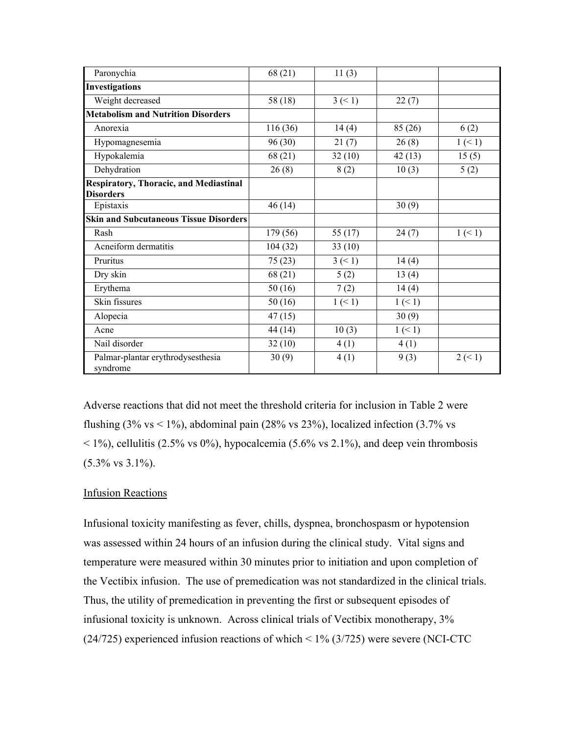| Paronychia                                                        | 68 (21)  | 11(3)      |         |         |
|-------------------------------------------------------------------|----------|------------|---------|---------|
| <b>Investigations</b>                                             |          |            |         |         |
| Weight decreased                                                  | 58 (18)  | $3 \leq 1$ | 22(7)   |         |
| <b>Metabolism and Nutrition Disorders</b>                         |          |            |         |         |
| Anorexia                                                          | 116 (36) | 14(4)      | 85 (26) | 6(2)    |
| Hypomagnesemia                                                    | 96(30)   | 21(7)      | 26(8)   | 1 (< 1) |
| Hypokalemia                                                       | 68 (21)  | 32(10)     | 42(13)  | 15(5)   |
| Dehydration                                                       | 26(8)    | 8(2)       | 10(3)   | 5(2)    |
| <b>Respiratory, Thoracic, and Mediastinal</b><br><b>Disorders</b> |          |            |         |         |
| Epistaxis                                                         | 46(14)   |            | 30(9)   |         |
| <b>Skin and Subcutaneous Tissue Disorders</b>                     |          |            |         |         |
| Rash                                                              | 179 (56) | 55 $(17)$  | 24(7)   | 1 (< 1) |
| Acneiform dermatitis                                              | 104(32)  | 33(10)     |         |         |
| Pruritus                                                          | 75(23)   | 3 (< 1)    | 14(4)   |         |
| Dry skin                                                          | 68 (21)  | 5(2)       | 13(4)   |         |
| Erythema                                                          | 50(16)   | 7(2)       | 14(4)   |         |
| Skin fissures                                                     | 50(16)   | 1 (< 1)    | 1 (< 1) |         |
| Alopecia                                                          | 47(15)   |            | 30(9)   |         |
| Acne                                                              | 44 (14)  | 10(3)      | 1 (< 1) |         |
| Nail disorder                                                     | 32(10)   | 4(1)       | 4(1)    |         |
| Palmar-plantar erythrodysesthesia<br>syndrome                     | 30(9)    | 4(1)       | 9(3)    | 2 (< 1) |

Adverse reactions that did not meet the threshold criteria for inclusion in Table 2 were flushing  $(3\% \text{ vs} < 1\%)$ , abdominal pain  $(28\% \text{ vs } 23\%)$ , localized infection  $(3.7\% \text{ vs } 2.5\%)$  $<$  1%), cellulitis (2.5% vs 0%), hypocalcemia (5.6% vs 2.1%), and deep vein thrombosis (5.3% vs 3.1%).

## Infusion Reactions

Infusional toxicity manifesting as fever, chills, dyspnea, bronchospasm or hypotension was assessed within 24 hours of an infusion during the clinical study. Vital signs and temperature were measured within 30 minutes prior to initiation and upon completion of the Vectibix infusion. The use of premedication was not standardized in the clinical trials. Thus, the utility of premedication in preventing the first or subsequent episodes of infusional toxicity is unknown. Across clinical trials of Vectibix monotherapy, 3% (24/725) experienced infusion reactions of which < 1% (3/725) were severe (NCI-CTC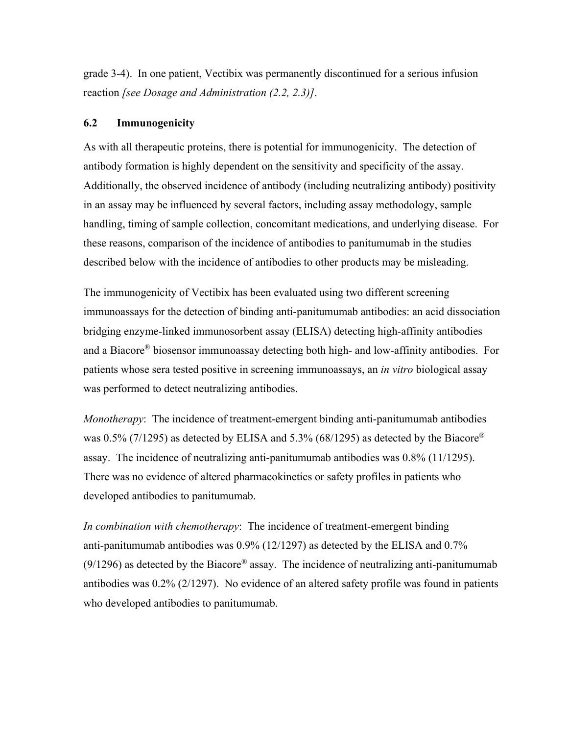grade 3-4). In one patient, Vectibix was permanently discontinued for a serious infusion reaction *[see Dosage and Administration (2.2, 2.3)]*.

#### **6.2 Immunogenicity**

As with all therapeutic proteins, there is potential for immunogenicity. The detection of antibody formation is highly dependent on the sensitivity and specificity of the assay. Additionally, the observed incidence of antibody (including neutralizing antibody) positivity in an assay may be influenced by several factors, including assay methodology, sample handling, timing of sample collection, concomitant medications, and underlying disease. For these reasons, comparison of the incidence of antibodies to panitumumab in the studies described below with the incidence of antibodies to other products may be misleading.

The immunogenicity of Vectibix has been evaluated using two different screening immunoassays for the detection of binding anti-panitumumab antibodies: an acid dissociation bridging enzyme-linked immunosorbent assay (ELISA) detecting high-affinity antibodies and a Biacore® biosensor immunoassay detecting both high- and low-affinity antibodies. For patients whose sera tested positive in screening immunoassays, an *in vitro* biological assay was performed to detect neutralizing antibodies.

*Monotherapy*: The incidence of treatment-emergent binding anti-panitumumab antibodies was 0.5% (7/1295) as detected by ELISA and 5.3% (68/1295) as detected by the Biacore<sup>®</sup> assay. The incidence of neutralizing anti-panitumumab antibodies was 0.8% (11/1295). There was no evidence of altered pharmacokinetics or safety profiles in patients who developed antibodies to panitumumab.

*In combination with chemotherapy*: The incidence of treatment-emergent binding anti-panitumumab antibodies was 0.9% (12/1297) as detected by the ELISA and 0.7%  $(9/1296)$  as detected by the Biacore<sup>®</sup> assay. The incidence of neutralizing anti-panitumumab antibodies was 0.2% (2/1297). No evidence of an altered safety profile was found in patients who developed antibodies to panitumumab.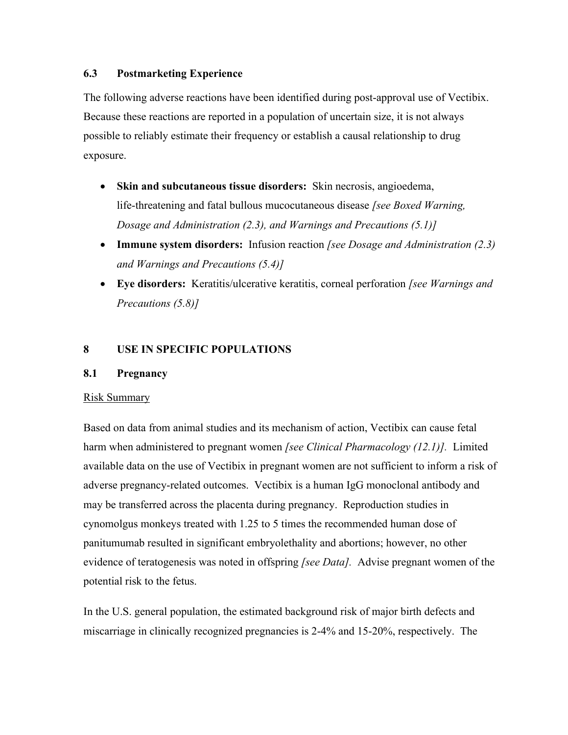## **6.3 Postmarketing Experience**

The following adverse reactions have been identified during post-approval use of Vectibix. Because these reactions are reported in a population of uncertain size, it is not always possible to reliably estimate their frequency or establish a causal relationship to drug exposure.

- **Skin and subcutaneous tissue disorders:** Skin necrosis, angioedema, life-threatening and fatal bullous mucocutaneous disease *[see Boxed Warning, Dosage and Administration (2.3), and Warnings and Precautions (5.1)]*
- **Immune system disorders:** Infusion reaction *[see Dosage and Administration (2.3) and Warnings and Precautions (5.4)]*
- **Eye disorders:** Keratitis/ulcerative keratitis, corneal perforation *[see Warnings and Precautions (5.8)]*

# **8 USE IN SPECIFIC POPULATIONS**

## **8.1 Pregnancy**

## Risk Summary

Based on data from animal studies and its mechanism of action, Vectibix can cause fetal harm when administered to pregnant women *[see Clinical Pharmacology (12.1)].* Limited available data on the use of Vectibix in pregnant women are not sufficient to inform a risk of adverse pregnancy-related outcomes. Vectibix is a human IgG monoclonal antibody and may be transferred across the placenta during pregnancy. Reproduction studies in cynomolgus monkeys treated with 1.25 to 5 times the recommended human dose of panitumumab resulted in significant embryolethality and abortions; however, no other evidence of teratogenesis was noted in offspring *[see Data].* Advise pregnant women of the potential risk to the fetus.

In the U.S. general population, the estimated background risk of major birth defects and miscarriage in clinically recognized pregnancies is 2-4% and 15-20%, respectively. The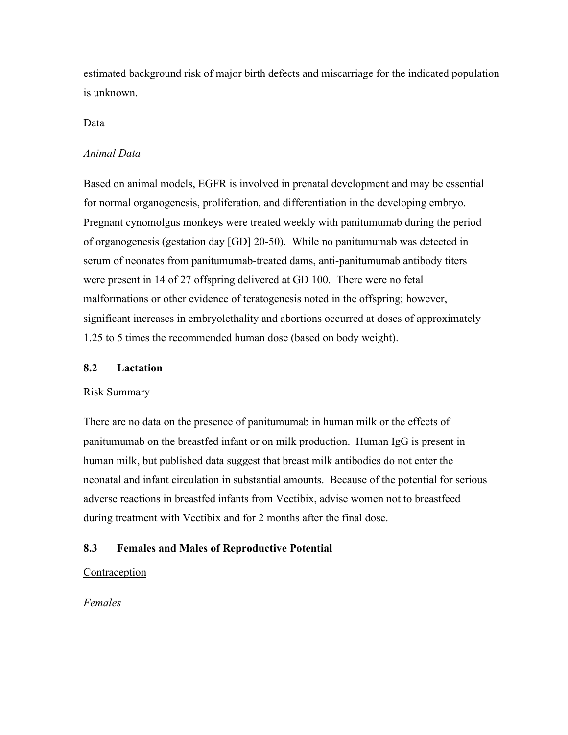estimated background risk of major birth defects and miscarriage for the indicated population is unknown.

#### Data

#### *Animal Data*

Based on animal models, EGFR is involved in prenatal development and may be essential for normal organogenesis, proliferation, and differentiation in the developing embryo. Pregnant cynomolgus monkeys were treated weekly with panitumumab during the period of organogenesis (gestation day [GD] 20-50). While no panitumumab was detected in serum of neonates from panitumumab-treated dams, anti-panitumumab antibody titers were present in 14 of 27 offspring delivered at GD 100. There were no fetal malformations or other evidence of teratogenesis noted in the offspring; however, significant increases in embryolethality and abortions occurred at doses of approximately 1.25 to 5 times the recommended human dose (based on body weight).

#### **8.2 Lactation**

#### Risk Summary

There are no data on the presence of panitumumab in human milk or the effects of panitumumab on the breastfed infant or on milk production. Human IgG is present in human milk, but published data suggest that breast milk antibodies do not enter the neonatal and infant circulation in substantial amounts. Because of the potential for serious adverse reactions in breastfed infants from Vectibix, advise women not to breastfeed during treatment with Vectibix and for 2 months after the final dose.

#### **8.3 Females and Males of Reproductive Potential**

#### Contraception

*Females*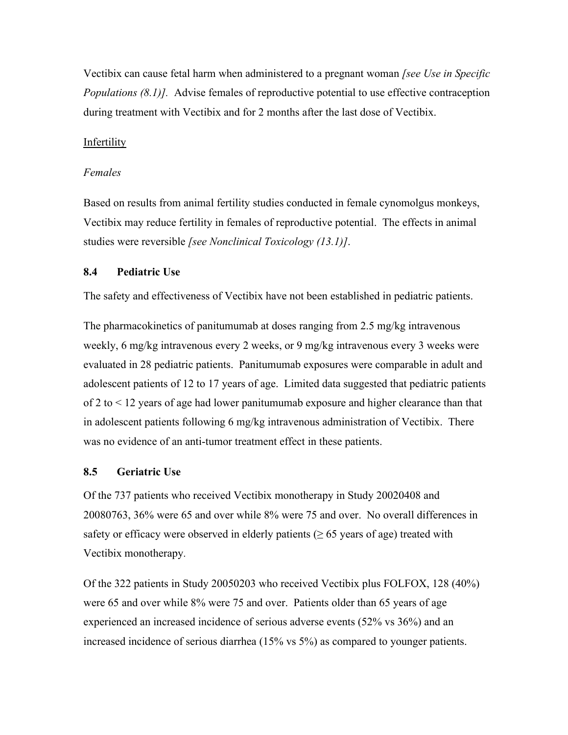Vectibix can cause fetal harm when administered to a pregnant woman *[see Use in Specific Populations (8.1)].* Advise females of reproductive potential to use effective contraception during treatment with Vectibix and for 2 months after the last dose of Vectibix.

## **Infertility**

#### *Females*

Based on results from animal fertility studies conducted in female cynomolgus monkeys, Vectibix may reduce fertility in females of reproductive potential. The effects in animal studies were reversible *[see Nonclinical Toxicology (13.1)]*.

#### **8.4 Pediatric Use**

The safety and effectiveness of Vectibix have not been established in pediatric patients.

The pharmacokinetics of panitumumab at doses ranging from 2.5 mg/kg intravenous weekly, 6 mg/kg intravenous every 2 weeks, or 9 mg/kg intravenous every 3 weeks were evaluated in 28 pediatric patients. Panitumumab exposures were comparable in adult and adolescent patients of 12 to 17 years of age. Limited data suggested that pediatric patients of 2 to < 12 years of age had lower panitumumab exposure and higher clearance than that in adolescent patients following 6 mg/kg intravenous administration of Vectibix. There was no evidence of an anti-tumor treatment effect in these patients.

#### **8.5 Geriatric Use**

Of the 737 patients who received Vectibix monotherapy in Study 20020408 and 20080763, 36% were 65 and over while 8% were 75 and over. No overall differences in safety or efficacy were observed in elderly patients  $($  > 65 years of age) treated with Vectibix monotherapy.

Of the 322 patients in Study 20050203 who received Vectibix plus FOLFOX, 128 (40%) were 65 and over while 8% were 75 and over. Patients older than 65 years of age experienced an increased incidence of serious adverse events (52% vs 36%) and an increased incidence of serious diarrhea (15% vs 5%) as compared to younger patients.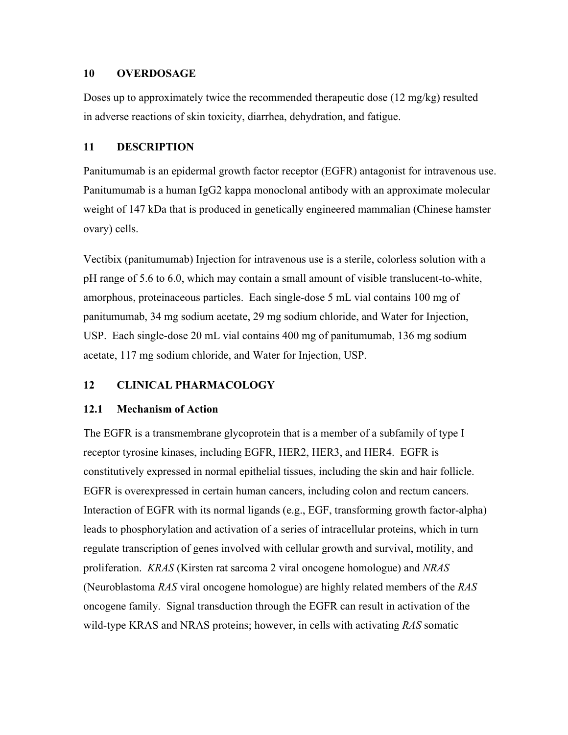#### **10 OVERDOSAGE**

Doses up to approximately twice the recommended therapeutic dose  $(12 \text{ mg/kg})$  resulted in adverse reactions of skin toxicity, diarrhea, dehydration, and fatigue.

# **11 DESCRIPTION**

Panitumumab is an epidermal growth factor receptor (EGFR) antagonist for intravenous use. Panitumumab is a human IgG2 kappa monoclonal antibody with an approximate molecular weight of 147 kDa that is produced in genetically engineered mammalian (Chinese hamster ovary) cells.

Vectibix (panitumumab) Injection for intravenous use is a sterile, colorless solution with a pH range of 5.6 to 6.0, which may contain a small amount of visible translucent-to-white, amorphous, proteinaceous particles. Each single-dose 5 mL vial contains 100 mg of panitumumab, 34 mg sodium acetate, 29 mg sodium chloride, and Water for Injection, USP. Each single-dose 20 mL vial contains 400 mg of panitumumab, 136 mg sodium acetate, 117 mg sodium chloride, and Water for Injection, USP.

# **12 CLINICAL PHARMACOLOGY**

# **12.1 Mechanism of Action**

The EGFR is a transmembrane glycoprotein that is a member of a subfamily of type I receptor tyrosine kinases, including EGFR, HER2, HER3, and HER4. EGFR is constitutively expressed in normal epithelial tissues, including the skin and hair follicle. EGFR is overexpressed in certain human cancers, including colon and rectum cancers. Interaction of EGFR with its normal ligands (e.g., EGF, transforming growth factor-alpha) leads to phosphorylation and activation of a series of intracellular proteins, which in turn regulate transcription of genes involved with cellular growth and survival, motility, and proliferation. *KRAS* (Kirsten rat sarcoma 2 viral oncogene homologue) and *NRAS* (Neuroblastoma *RAS* viral oncogene homologue) are highly related members of the *RAS* oncogene family. Signal transduction through the EGFR can result in activation of the wild-type KRAS and NRAS proteins; however, in cells with activating *RAS* somatic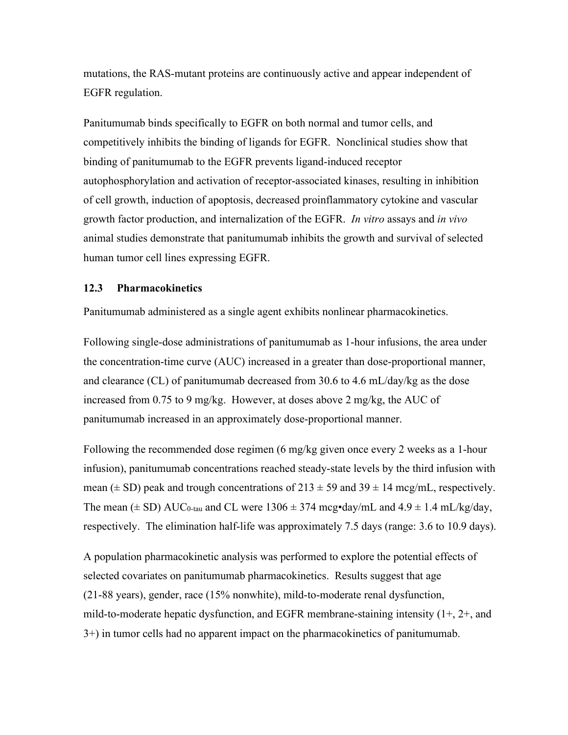mutations, the RAS-mutant proteins are continuously active and appear independent of EGFR regulation.

Panitumumab binds specifically to EGFR on both normal and tumor cells, and competitively inhibits the binding of ligands for EGFR. Nonclinical studies show that binding of panitumumab to the EGFR prevents ligand-induced receptor autophosphorylation and activation of receptor-associated kinases, resulting in inhibition of cell growth, induction of apoptosis, decreased proinflammatory cytokine and vascular growth factor production, and internalization of the EGFR. *In vitro* assays and *in vivo* animal studies demonstrate that panitumumab inhibits the growth and survival of selected human tumor cell lines expressing EGFR.

#### **12.3 Pharmacokinetics**

Panitumumab administered as a single agent exhibits nonlinear pharmacokinetics.

Following single-dose administrations of panitumumab as 1-hour infusions, the area under the concentration-time curve (AUC) increased in a greater than dose-proportional manner, and clearance (CL) of panitumumab decreased from 30.6 to 4.6 mL/day/kg as the dose increased from 0.75 to 9 mg/kg. However, at doses above 2 mg/kg, the AUC of panitumumab increased in an approximately dose-proportional manner.

Following the recommended dose regimen (6 mg/kg given once every 2 weeks as a 1-hour infusion), panitumumab concentrations reached steady-state levels by the third infusion with mean ( $\pm$  SD) peak and trough concentrations of 213  $\pm$  59 and 39  $\pm$  14 mcg/mL, respectively. The mean  $(\pm SD)$  AUC<sub>0-tau</sub> and CL were 1306  $\pm$  374 mcg•day/mL and 4.9  $\pm$  1.4 mL/kg/day, respectively. The elimination half-life was approximately 7.5 days (range: 3.6 to 10.9 days).

A population pharmacokinetic analysis was performed to explore the potential effects of selected covariates on panitumumab pharmacokinetics. Results suggest that age (21-88 years), gender, race (15% nonwhite), mild-to-moderate renal dysfunction, mild-to-moderate hepatic dysfunction, and EGFR membrane-staining intensity (1+, 2+, and 3+) in tumor cells had no apparent impact on the pharmacokinetics of panitumumab.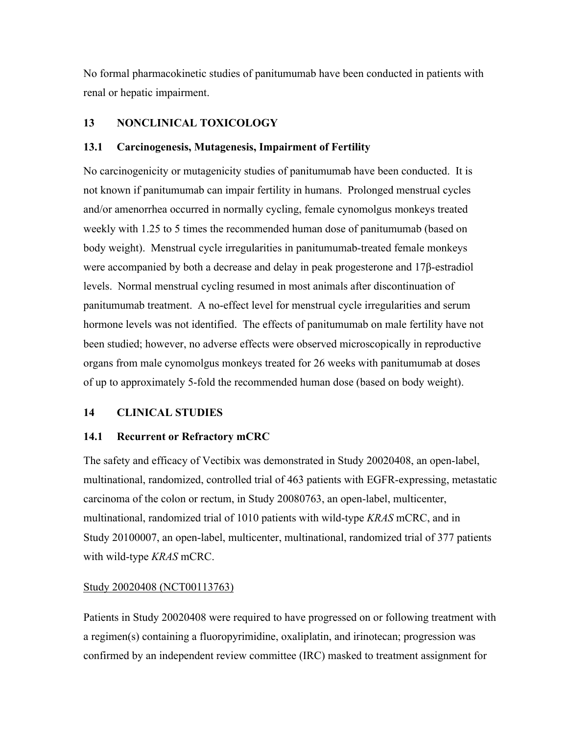No formal pharmacokinetic studies of panitumumab have been conducted in patients with renal or hepatic impairment.

# **13 NONCLINICAL TOXICOLOGY**

## **13.1 Carcinogenesis, Mutagenesis, Impairment of Fertility**

No carcinogenicity or mutagenicity studies of panitumumab have been conducted. It is not known if panitumumab can impair fertility in humans. Prolonged menstrual cycles and/or amenorrhea occurred in normally cycling, female cynomolgus monkeys treated weekly with 1.25 to 5 times the recommended human dose of panitumumab (based on body weight). Menstrual cycle irregularities in panitumumab-treated female monkeys were accompanied by both a decrease and delay in peak progesterone and 17β-estradiol levels. Normal menstrual cycling resumed in most animals after discontinuation of panitumumab treatment. A no-effect level for menstrual cycle irregularities and serum hormone levels was not identified. The effects of panitumumab on male fertility have not been studied; however, no adverse effects were observed microscopically in reproductive organs from male cynomolgus monkeys treated for 26 weeks with panitumumab at doses of up to approximately 5-fold the recommended human dose (based on body weight).

# **14 CLINICAL STUDIES**

## **14.1 Recurrent or Refractory mCRC**

The safety and efficacy of Vectibix was demonstrated in Study 20020408, an open-label, multinational, randomized, controlled trial of 463 patients with EGFR-expressing, metastatic carcinoma of the colon or rectum, in Study 20080763, an open-label, multicenter, multinational, randomized trial of 1010 patients with wild-type *KRAS* mCRC, and in Study 20100007, an open-label, multicenter, multinational, randomized trial of 377 patients with wild-type *KRAS* mCRC.

## Study 20020408 (NCT00113763)

Patients in Study 20020408 were required to have progressed on or following treatment with a regimen(s) containing a fluoropyrimidine, oxaliplatin, and irinotecan; progression was confirmed by an independent review committee (IRC) masked to treatment assignment for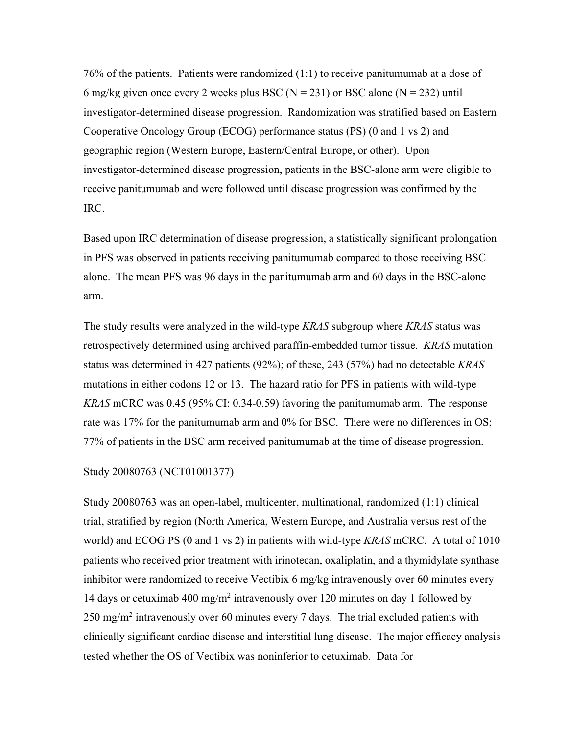76% of the patients. Patients were randomized (1:1) to receive panitumumab at a dose of 6 mg/kg given once every 2 weeks plus BSC ( $N = 231$ ) or BSC alone ( $N = 232$ ) until investigator-determined disease progression. Randomization was stratified based on Eastern Cooperative Oncology Group (ECOG) performance status (PS) (0 and 1 vs 2) and geographic region (Western Europe, Eastern/Central Europe, or other). Upon investigator-determined disease progression, patients in the BSC-alone arm were eligible to receive panitumumab and were followed until disease progression was confirmed by the IRC.

Based upon IRC determination of disease progression, a statistically significant prolongation in PFS was observed in patients receiving panitumumab compared to those receiving BSC alone. The mean PFS was 96 days in the panitumumab arm and 60 days in the BSC-alone arm.

The study results were analyzed in the wild-type *KRAS* subgroup where *KRAS* status was retrospectively determined using archived paraffin-embedded tumor tissue. *KRAS* mutation status was determined in 427 patients (92%); of these, 243 (57%) had no detectable *KRAS* mutations in either codons 12 or 13. The hazard ratio for PFS in patients with wild-type *KRAS* mCRC was 0.45 (95% CI: 0.34-0.59) favoring the panitumumab arm. The response rate was 17% for the panitumumab arm and 0% for BSC. There were no differences in OS; 77% of patients in the BSC arm received panitumumab at the time of disease progression.

#### Study 20080763 (NCT01001377)

Study 20080763 was an open-label, multicenter, multinational, randomized (1:1) clinical trial, stratified by region (North America, Western Europe, and Australia versus rest of the world) and ECOG PS (0 and 1 vs 2) in patients with wild-type *KRAS* mCRC. A total of 1010 patients who received prior treatment with irinotecan, oxaliplatin, and a thymidylate synthase inhibitor were randomized to receive Vectibix 6 mg/kg intravenously over 60 minutes every 14 days or cetuximab 400 mg/m2 intravenously over 120 minutes on day 1 followed by  $250 \text{ mg/m}^2$  intravenously over 60 minutes every 7 days. The trial excluded patients with clinically significant cardiac disease and interstitial lung disease. The major efficacy analysis tested whether the OS of Vectibix was noninferior to cetuximab. Data for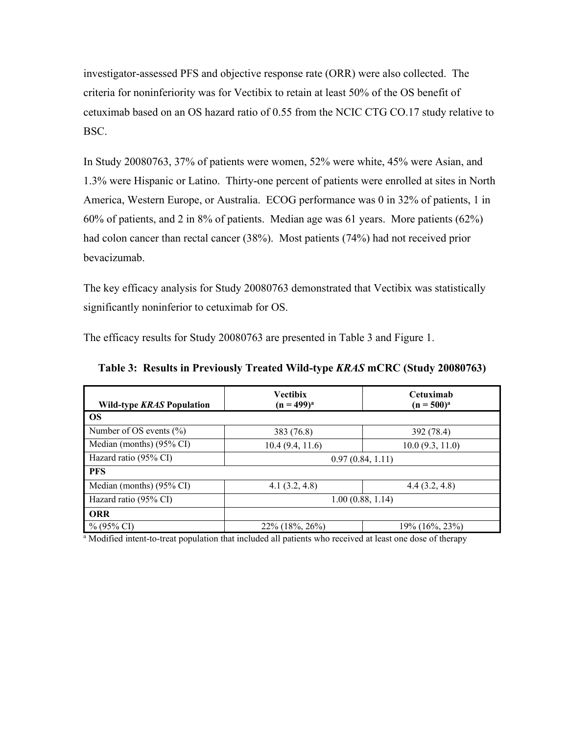investigator-assessed PFS and objective response rate (ORR) were also collected. The criteria for noninferiority was for Vectibix to retain at least 50% of the OS benefit of cetuximab based on an OS hazard ratio of 0.55 from the NCIC CTG CO.17 study relative to BSC.

In Study 20080763, 37% of patients were women, 52% were white, 45% were Asian, and 1.3% were Hispanic or Latino. Thirty-one percent of patients were enrolled at sites in North America, Western Europe, or Australia. ECOG performance was 0 in 32% of patients, 1 in 60% of patients, and 2 in 8% of patients. Median age was 61 years. More patients (62%) had colon cancer than rectal cancer (38%). Most patients (74%) had not received prior bevacizumab.

The key efficacy analysis for Study 20080763 demonstrated that Vectibix was statistically significantly noninferior to cetuximab for OS.

The efficacy results for Study 20080763 are presented in Table 3 and Figure 1.

| <b>Wild-type KRAS Population</b> | <b>Vectibix</b><br>$(n = 499)^{a}$ | Cetuximah<br>$(n = 500)^{a}$ |  |
|----------------------------------|------------------------------------|------------------------------|--|
| <b>OS</b>                        |                                    |                              |  |
| Number of OS events $(\% )$      | 383 (76.8)                         | 392 (78.4)                   |  |
| Median (months) (95% CI)         | 10.4(9.4, 11.6)                    | 10.0(9.3, 11.0)              |  |
| Hazard ratio (95% CI)            | 0.97(0.84, 1.11)                   |                              |  |
| <b>PFS</b>                       |                                    |                              |  |
| Median (months) (95% CI)         | 4.1 $(3.2, 4.8)$                   | 4.4(3.2, 4.8)                |  |
| Hazard ratio (95% CI)            |                                    | 1.00(0.88, 1.14)             |  |
| <b>ORR</b>                       |                                    |                              |  |
| $\%$ (95% CI)                    | 22\% (18\%, 26\%)                  | 19% (16%, 23%)               |  |

**Table 3: Results in Previously Treated Wild-type** *KRAS* **mCRC (Study 20080763)**

<sup>a</sup> Modified intent-to-treat population that included all patients who received at least one dose of therapy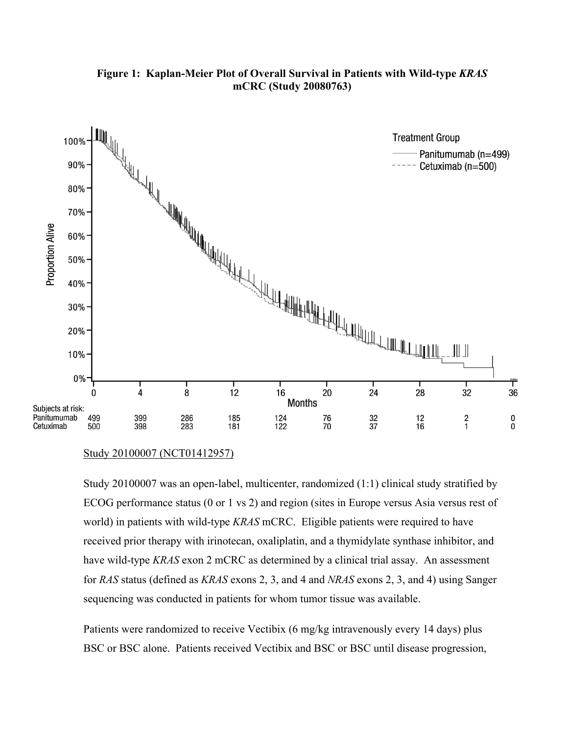

## **Figure 1: Kaplan-Meier Plot of Overall Survival in Patients with Wild-type** *KRAS* **mCRC (Study 20080763)**

Study 20100007 (NCT01412957)

Study 20100007 was an open-label, multicenter, randomized (1:1) clinical study stratified by ECOG performance status (0 or 1 vs 2) and region (sites in Europe versus Asia versus rest of world) in patients with wild-type *KRAS* mCRC. Eligible patients were required to have received prior therapy with irinotecan, oxaliplatin, and a thymidylate synthase inhibitor, and have wild-type *KRAS* exon 2 mCRC as determined by a clinical trial assay. An assessment for *RAS* status (defined as *KRAS* exons 2, 3, and 4 and *NRAS* exons 2, 3, and 4) using Sanger sequencing was conducted in patients for whom tumor tissue was available.

Patients were randomized to receive Vectibix (6 mg/kg intravenously every 14 days) plus BSC or BSC alone. Patients received Vectibix and BSC or BSC until disease progression,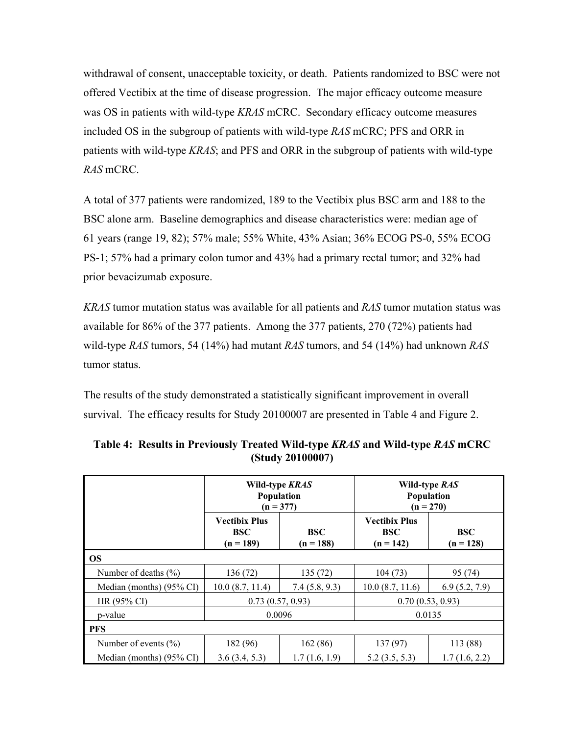withdrawal of consent, unacceptable toxicity, or death. Patients randomized to BSC were not offered Vectibix at the time of disease progression. The major efficacy outcome measure was OS in patients with wild-type *KRAS* mCRC. Secondary efficacy outcome measures included OS in the subgroup of patients with wild-type *RAS* mCRC; PFS and ORR in patients with wild-type *KRAS*; and PFS and ORR in the subgroup of patients with wild-type *RAS* mCRC.

A total of 377 patients were randomized, 189 to the Vectibix plus BSC arm and 188 to the BSC alone arm. Baseline demographics and disease characteristics were: median age of 61 years (range 19, 82); 57% male; 55% White, 43% Asian; 36% ECOG PS-0, 55% ECOG PS-1; 57% had a primary colon tumor and 43% had a primary rectal tumor; and 32% had prior bevacizumab exposure.

*KRAS* tumor mutation status was available for all patients and *RAS* tumor mutation status was available for 86% of the 377 patients. Among the 377 patients, 270 (72%) patients had wild-type *RAS* tumors, 54 (14%) had mutant *RAS* tumors, and 54 (14%) had unknown *RAS* tumor status.

The results of the study demonstrated a statistically significant improvement in overall survival. The efficacy results for Study 20100007 are presented in Table 4 and Figure 2.

|                          | Wild-type KRAS<br>Population<br>$(n = 377)$                             |               | Wild-type RAS<br><b>Population</b><br>$(n = 270)$ |                           |  |
|--------------------------|-------------------------------------------------------------------------|---------------|---------------------------------------------------|---------------------------|--|
|                          | Vectibix Plus<br><b>BSC</b><br><b>BSC</b><br>$(n = 189)$<br>$(n = 188)$ |               | <b>Vectibix Plus</b><br><b>BSC</b><br>$(n = 142)$ | <b>BSC</b><br>$(n = 128)$ |  |
| <b>OS</b>                |                                                                         |               |                                                   |                           |  |
| Number of deaths $(\% )$ | 136 (72)                                                                | 135 (72)      | 104(73)                                           | 95 (74)                   |  |
| Median (months) (95% CI) | 10.0(8.7, 11.4)                                                         | 7.4(5.8, 9.3) | 10.0(8.7, 11.6)                                   | 6.9(5.2, 7.9)             |  |
| HR (95% CI)              | 0.73(0.57, 0.93)                                                        |               | 0.70(0.53, 0.93)                                  |                           |  |
| p-value                  |                                                                         | 0.0096        | 0.0135                                            |                           |  |
| <b>PFS</b>               |                                                                         |               |                                                   |                           |  |
| Number of events $(\% )$ | 182 (96)                                                                | 162(86)       | 137(97)                                           | 113 (88)                  |  |
| Median (months) (95% CI) | 3.6(3.4, 5.3)                                                           | 1.7(1.6, 1.9) | 5.2(3.5, 5.3)                                     | 1.7(1.6, 2.2)             |  |

| Table 4: Results in Previously Treated Wild-type KRAS and Wild-type RAS mCRC |                  |  |  |
|------------------------------------------------------------------------------|------------------|--|--|
|                                                                              | (Study 20100007) |  |  |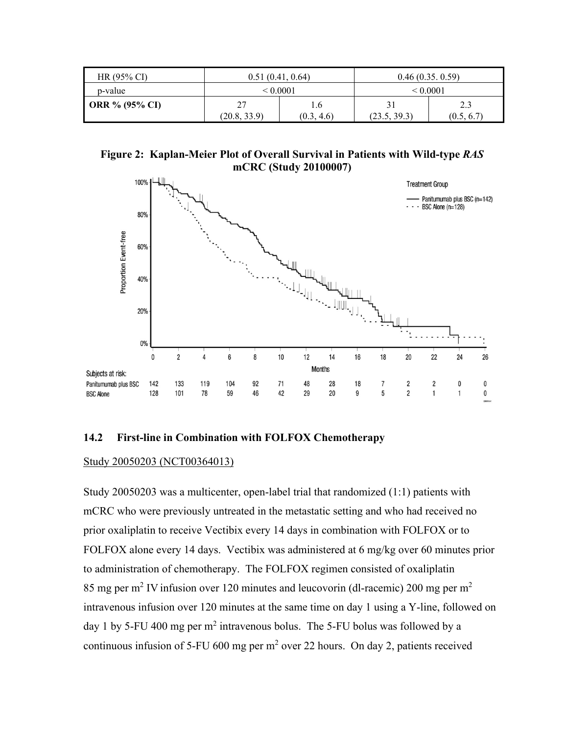| $HR(95\% CI)$         | 0.51(0.41, 0.64)                         |  | 0.46(0.35, 0.59)               |                   |
|-----------------------|------------------------------------------|--|--------------------------------|-------------------|
| p-value               | < 0.0001                                 |  | < 0.0001                       |                   |
| <b>ORR</b> % (95% CI) | 27<br>i .b<br>(20.8, 33.9)<br>(0.3, 4.6) |  | 3 <sup>1</sup><br>(23.5, 39.3) | 2.3<br>(0.5, 6.7) |

**Figure 2: Kaplan-Meier Plot of Overall Survival in Patients with Wild-type** *RAS* **mCRC (Study 20100007)**



#### **14.2 First-line in Combination with FOLFOX Chemotherapy**

#### Study 20050203 (NCT00364013)

Study 20050203 was a multicenter, open-label trial that randomized (1:1) patients with mCRC who were previously untreated in the metastatic setting and who had received no prior oxaliplatin to receive Vectibix every 14 days in combination with FOLFOX or to FOLFOX alone every 14 days. Vectibix was administered at 6 mg/kg over 60 minutes prior to administration of chemotherapy. The FOLFOX regimen consisted of oxaliplatin 85 mg per m<sup>2</sup> IV infusion over 120 minutes and leucovorin (dl-racemic) 200 mg per m<sup>2</sup> intravenous infusion over 120 minutes at the same time on day 1 using a Y-line, followed on day 1 by 5-FU 400 mg per  $m^2$  intravenous bolus. The 5-FU bolus was followed by a continuous infusion of 5-FU 600 mg per  $m<sup>2</sup>$  over 22 hours. On day 2, patients received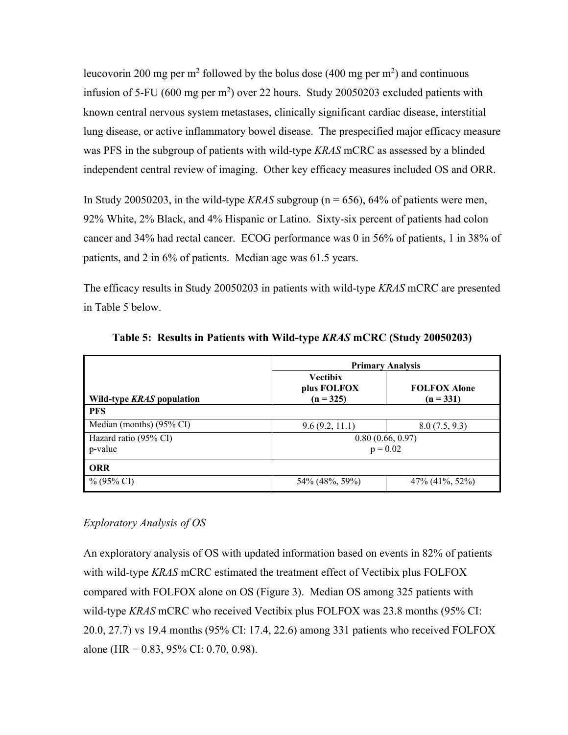leucovorin 200 mg per m<sup>2</sup> followed by the bolus dose (400 mg per m<sup>2</sup>) and continuous infusion of 5-FU (600 mg per  $m<sup>2</sup>$ ) over 22 hours. Study 20050203 excluded patients with known central nervous system metastases, clinically significant cardiac disease, interstitial lung disease, or active inflammatory bowel disease. The prespecified major efficacy measure was PFS in the subgroup of patients with wild-type *KRAS* mCRC as assessed by a blinded independent central review of imaging. Other key efficacy measures included OS and ORR.

In Study 20050203, in the wild-type *KRAS* subgroup ( $n = 656$ ), 64% of patients were men, 92% White, 2% Black, and 4% Hispanic or Latino. Sixty-six percent of patients had colon cancer and 34% had rectal cancer. ECOG performance was 0 in 56% of patients, 1 in 38% of patients, and 2 in 6% of patients. Median age was 61.5 years.

The efficacy results in Study 20050203 in patients with wild-type *KRAS* mCRC are presented in Table 5 below.

|                                  | <b>Primary Analysis</b>                       |                                    |  |  |
|----------------------------------|-----------------------------------------------|------------------------------------|--|--|
| Wild-type KRAS population        | <b>Vectibix</b><br>plus FOLFOX<br>$(n = 325)$ | <b>FOLFOX Alone</b><br>$(n = 331)$ |  |  |
| <b>PFS</b>                       |                                               |                                    |  |  |
| Median (months) (95% CI)         | 9.6(9.2, 11.1)                                | 8.0(7.5, 9.3)                      |  |  |
| Hazard ratio (95% CI)<br>p-value | 0.80(0.66, 0.97)<br>$p = 0.02$                |                                    |  |  |
| <b>ORR</b>                       |                                               |                                    |  |  |
| $\%$ (95% CI)                    | 54\% (48\%, 59\%)                             | 47% (41%, 52%)                     |  |  |

**Table 5: Results in Patients with Wild-type** *KRAS* **mCRC (Study 20050203)**

# *Exploratory Analysis of OS*

An exploratory analysis of OS with updated information based on events in 82% of patients with wild-type *KRAS* mCRC estimated the treatment effect of Vectibix plus FOLFOX compared with FOLFOX alone on OS (Figure 3). Median OS among 325 patients with wild-type *KRAS* mCRC who received Vectibix plus FOLFOX was 23.8 months (95% CI: 20.0, 27.7) vs 19.4 months (95% CI: 17.4, 22.6) among 331 patients who received FOLFOX alone (HR =  $0.83$ , 95% CI: 0.70, 0.98).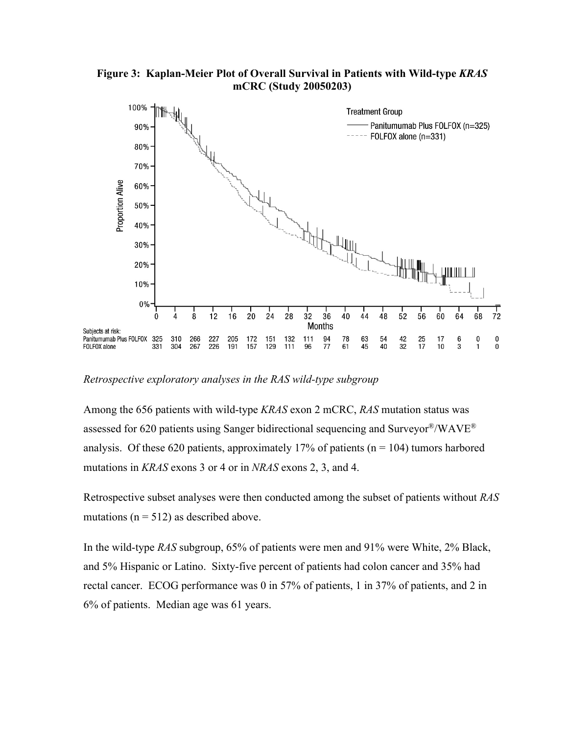

**Figure 3: Kaplan-Meier Plot of Overall Survival in Patients with Wild-type** *KRAS* **mCRC (Study 20050203)**

*Retrospective exploratory analyses in the RAS wild-type subgroup*

Among the 656 patients with wild-type *KRAS* exon 2 mCRC, *RAS* mutation status was assessed for 620 patients using Sanger bidirectional sequencing and Surveyor®/WAVE® analysis. Of these 620 patients, approximately 17% of patients ( $n = 104$ ) tumors harbored mutations in *KRAS* exons 3 or 4 or in *NRAS* exons 2, 3, and 4.

Retrospective subset analyses were then conducted among the subset of patients without *RAS* mutations ( $n = 512$ ) as described above.

In the wild-type *RAS* subgroup, 65% of patients were men and 91% were White, 2% Black, and 5% Hispanic or Latino. Sixty-five percent of patients had colon cancer and 35% had rectal cancer. ECOG performance was 0 in 57% of patients, 1 in 37% of patients, and 2 in 6% of patients. Median age was 61 years.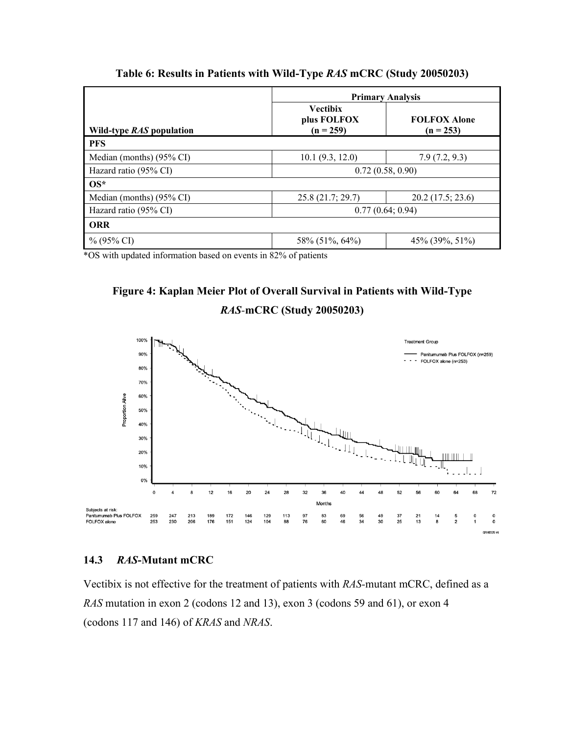|                                 | <b>Primary Analysis</b>                       |                                    |  |  |
|---------------------------------|-----------------------------------------------|------------------------------------|--|--|
| Wild-type <i>RAS</i> population | <b>Vectibix</b><br>plus FOLFOX<br>$(n = 259)$ | <b>FOLFOX Alone</b><br>$(n = 253)$ |  |  |
| <b>PFS</b>                      |                                               |                                    |  |  |
| Median (months) (95% CI)        | 10.1 (9.3, 12.0)                              | 7.9(7.2, 9.3)                      |  |  |
| Hazard ratio (95% CI)           | 0.72(0.58, 0.90)                              |                                    |  |  |
| $OS^*$                          |                                               |                                    |  |  |
| Median (months) (95% CI)        | 25.8(21.7; 29.7)                              | 20.2 (17.5; 23.6)                  |  |  |
| Hazard ratio (95% CI)           | 0.77(0.64; 0.94)                              |                                    |  |  |
| <b>ORR</b>                      |                                               |                                    |  |  |
| $\%$ (95% CI)                   | 58% (51%, 64%)                                | 45% (39%, 51%)                     |  |  |

**Table 6: Results in Patients with Wild-Type** *RAS* **mCRC (Study 20050203)**

\*OS with updated information based on events in 82% of patients



*RAS-***mCRC (Study 20050203)**



## **14.3** *RAS***-Mutant mCRC**

Vectibix is not effective for the treatment of patients with *RAS-*mutant mCRC, defined as a *RAS* mutation in exon 2 (codons 12 and 13), exon 3 (codons 59 and 61), or exon 4 (codons 117 and 146) of *KRAS* and *NRAS*.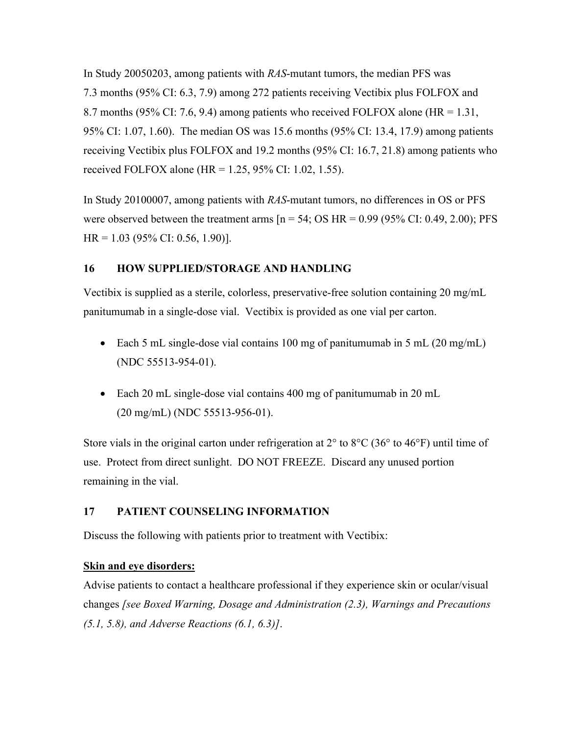In Study 20050203, among patients with *RAS*-mutant tumors, the median PFS was 7.3 months (95% CI: 6.3, 7.9) among 272 patients receiving Vectibix plus FOLFOX and 8.7 months (95% CI: 7.6, 9.4) among patients who received FOLFOX alone (HR = 1.31, 95% CI: 1.07, 1.60). The median OS was 15.6 months (95% CI: 13.4, 17.9) among patients receiving Vectibix plus FOLFOX and 19.2 months (95% CI: 16.7, 21.8) among patients who received FOLFOX alone (HR =  $1.25$ , 95% CI: 1.02, 1.55).

In Study 20100007, among patients with *RAS*-mutant tumors, no differences in OS or PFS were observed between the treatment arms  $[n = 54; OS HR = 0.99 (95\% CI: 0.49, 2.00); PFS$ HR = 1.03 (95% CI: 0.56, 1.90)].

# **16 HOW SUPPLIED/STORAGE AND HANDLING**

Vectibix is supplied as a sterile, colorless, preservative-free solution containing 20 mg/mL panitumumab in a single-dose vial. Vectibix is provided as one vial per carton.

- Each 5 mL single-dose vial contains 100 mg of panitumumab in 5 mL  $(20 \text{ mg/mL})$ (NDC 55513-954-01).
- Each 20 mL single-dose vial contains 400 mg of panitumumab in 20 mL (20 mg/mL) (NDC 55513-956-01).

Store vials in the original carton under refrigeration at  $2^{\circ}$  to  $8^{\circ}$ C (36° to 46°F) until time of use. Protect from direct sunlight. DO NOT FREEZE. Discard any unused portion remaining in the vial.

# **17 PATIENT COUNSELING INFORMATION**

Discuss the following with patients prior to treatment with Vectibix:

## **Skin and eye disorders:**

Advise patients to contact a healthcare professional if they experience skin or ocular/visual changes *[see Boxed Warning, Dosage and Administration (2.3), Warnings and Precautions (5.1, 5.8), and Adverse Reactions (6.1, 6.3)]*.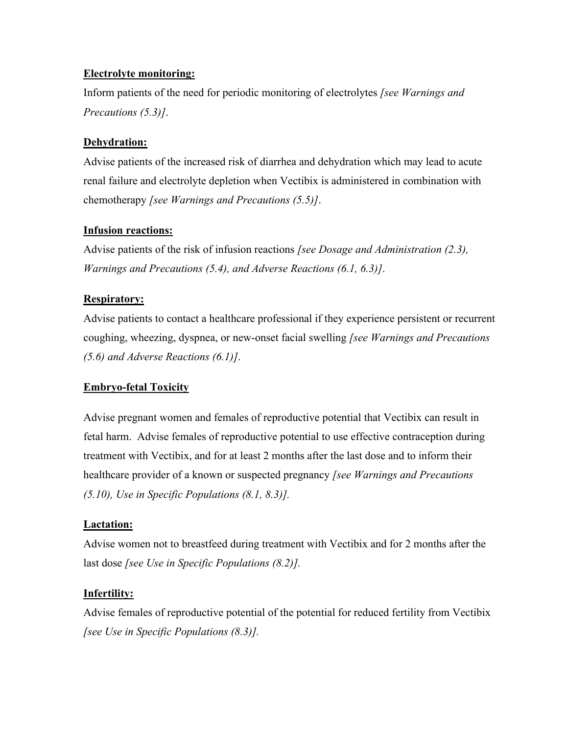# **Electrolyte monitoring:**

Inform patients of the need for periodic monitoring of electrolytes *[see Warnings and Precautions (5.3)]*.

# **Dehydration:**

Advise patients of the increased risk of diarrhea and dehydration which may lead to acute renal failure and electrolyte depletion when Vectibix is administered in combination with chemotherapy *[see Warnings and Precautions (5.5)]*.

# **Infusion reactions:**

Advise patients of the risk of infusion reactions *[see Dosage and Administration (2.3), Warnings and Precautions (5.4), and Adverse Reactions (6.1, 6.3)]*.

# **Respiratory:**

Advise patients to contact a healthcare professional if they experience persistent or recurrent coughing, wheezing, dyspnea, or new-onset facial swelling *[see Warnings and Precautions (5.6) and Adverse Reactions (6.1)]*.

# **Embryo-fetal Toxicity**

Advise pregnant women and females of reproductive potential that Vectibix can result in fetal harm. Advise females of reproductive potential to use effective contraception during treatment with Vectibix, and for at least 2 months after the last dose and to inform their healthcare provider of a known or suspected pregnancy *[see Warnings and Precautions (5.10), Use in Specific Populations (8.1, 8.3)].*

## **Lactation:**

Advise women not to breastfeed during treatment with Vectibix and for 2 months after the last dose *[see Use in Specific Populations (8.2)].*

# **Infertility:**

Advise females of reproductive potential of the potential for reduced fertility from Vectibix *[see Use in Specific Populations (8.3)].*